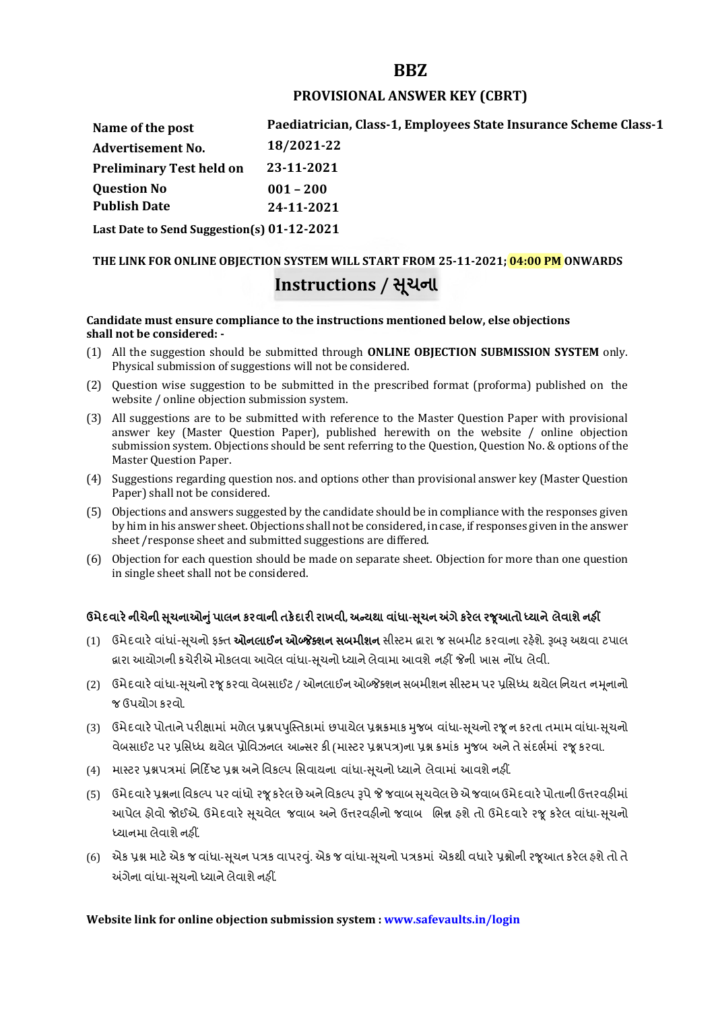## **BBZ**

# **PROVISIONAL ANSWER KEY (CBRT)**

**Name of the post Advertisement No. Question No Paediatrician, Class-1, Employees State Insurance Scheme Class-1 18/2021-22 Preliminary Test held on 23-11-2021 Publish Date 001 – 200 24-11-2021 Last Date to Send Suggestion(s) 01-12-2021**

**THE LINK FOR ONLINE OBJECTION SYSTEM WILL START FROM 25-11-2021; 04:00 PM ONWARDS Instructions / Ʌચના ૂ**

#### **Candidate must ensure compliance to the instructions mentioned below, else objections shall not be considered: -**

- (1) All the suggestion should be submitted through **ONLINE OBJECTION SUBMISSION SYSTEM** only. Physical submission of suggestions will not be considered.
- (2) Question wise suggestion to be submitted in the prescribed format (proforma) published on the website / online objection submission system.
- (3) All suggestions are to be submitted with reference to the Master Question Paper with provisional answer key (Master Question Paper), published herewith on the website / online objection submission system. Objections should be sent referring to the Question, Question No. & options of the Master Question Paper.
- (4) Suggestions regarding question nos. and options other than provisional answer key (Master Question Paper) shall not be considered.
- (5) Objections and answers suggested by the candidate should be in compliance with the responses given by him in his answer sheet. Objections shall not be considered, in case, if responses given in the answer sheet /response sheet and submitted suggestions are differed.
- (6) Objection for each question should be made on separate sheet. Objection for more than one question in single sheet shall not be considered.

### **ઉમેદવાર°નીચેની Ʌ ૂચનાઓȵુંપાલન કરવાની તક°દાર રાખવી, અƛયથા વા ંધા-Ʌ ૂચન Ӕગેકર°લ રȩૂઆતો ƚયાને લેવાશેનહӄ**

- (1) ઉમેદવારે વાંધાં-સુચનો ફક્ત **ઓનલાઈન ઓબ્જેક્શન સબમીશન** સીસ્ટમ હ્રારા જ સબમીટ કરવાના રહેશે. રૂબરૂ અથવા ટપાલ હ્રારા આયોગની કચેરીએ મોકલવા આવેલ વાંધા-સૂચનો ધ્યાને લેવામા આવશે નહીં જેની ખાસ નોંધ લેવી.
- (2) ઉમેદવારે વાંધા-સચનો રજ કરવા વેબસાઈટ / ઓનલાઈન ઓબ્જેક્શન સબમીશન સીસ્ટમ પર પ્રસિધ્ધ થયેલ નિયત નમનાનો જ ઉપયોગ કરવો.
- (3) ઉમેદવારે પોતાને પરીક્ષામાં મળેલ પ્રશ્નપપુસ્તિકામાં છપાયેલ પ્રશ્નક્રમાક મુજબ વાંધા-સૂચનો રજૂન કરતા તમામ વાંધા-સૂચનો વેબસાઈટ પર પ્રસિધ્ધ થયેલ પ્રોવિઝનલ આન્સર કી (માસ્ટર પ્રશ્નપત્ર)ના પ્રશ્ન ક્રમાંક મજબ અને તે સંદર્ભમાં ૨જ કરવા.
- (4) માસ્ટર પ્રશ્નપત્રમાં નિર્દિષ્ટ પ્રશ્ન અને વિકલ્પ સિવાયના વાંધા-સચનો ધ્યાને લેવામાં આવશે નહીં.
- (5) ઉમેદવારે પ્રશ્નના વિકલ્પ પર વાંધો રજૂ કરેલ છે અને વિકલ્પ રૂપે જે જવાબ સુચવેલ છે એ જવાબ ઉમેદવારે પોતાની ઉત્તરવહીમાં આપેલ હોવો જોઈએ. ઉમેદવારે સૂચવેલ જવાબ અને ઉત્તરવહીનો જવાબ ભિન્ન હશે તો ઉમેદવારે રજૂ કરેલ વાંધા-સૂચનો ધ્યાનમા લેવાશે નહીં.
- (6) એક પ્રશ્ન માટે એક જ વાંધા-સૂચન પત્રક વાપરવું. એક જ વાંધા-સૂચનો પત્રકમાં એકથી વધારે પ્રશ્નોની રજૂઆત કરેલ હશે તો તે અંગેના વાંધા-સુચનો ધ્યાને લેવાશે નહીં.

### **Website link for online objection submission system : www.safevaults.in/login**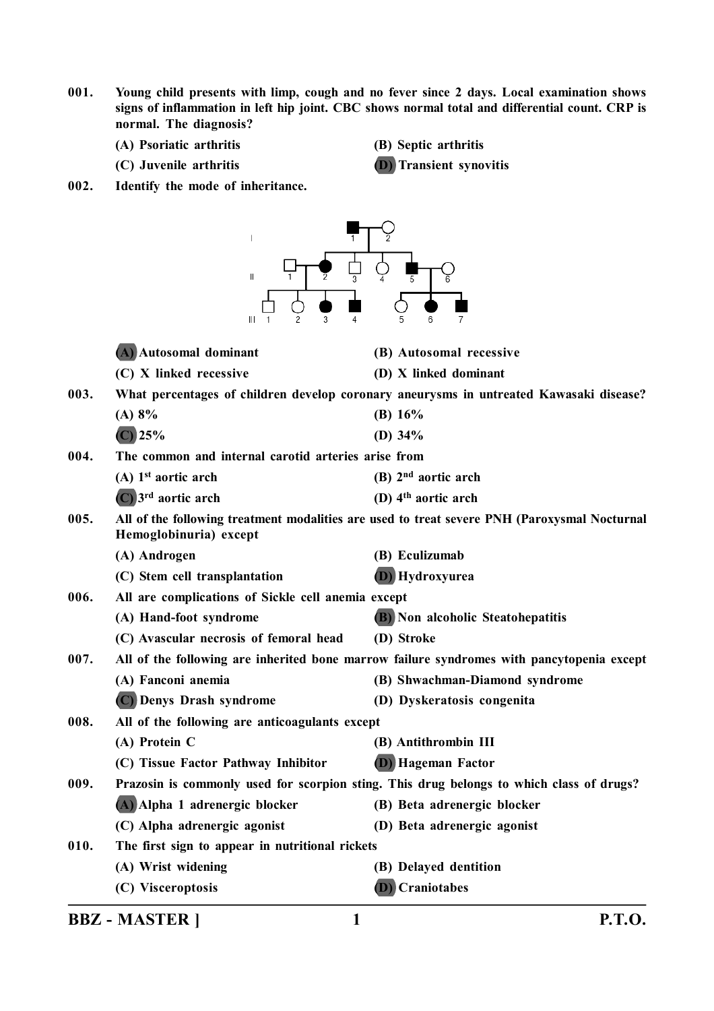- **001. Young child presents with limp, cough and no fever since 2 days. Local examination shows signs of inflammation in left hip joint. CBC shows normal total and differential count. CRP is normal. The diagnosis?**
	- **(A) Psoriatic arthritis (B) Septic arthritis**

- **(C) Juvenile arthritis (D) Transient synovitis**
- **002. Identify the mode of inheritance.**



**BBZ - MASTER ] 1 P.T.O.**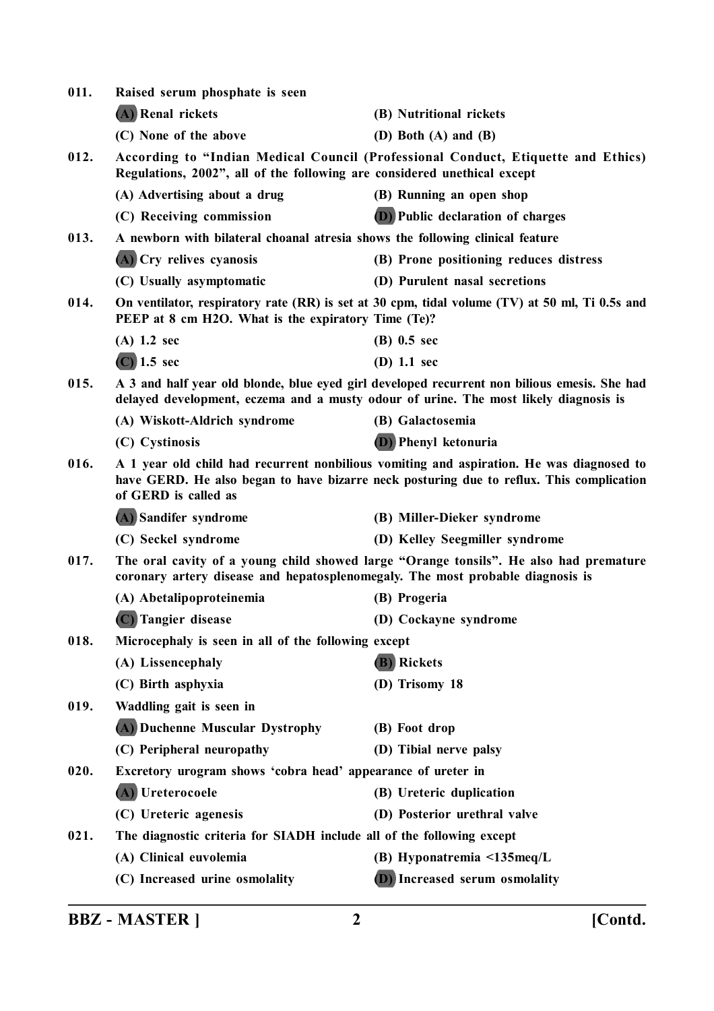| 011. | Raised serum phosphate is seen                                                                                                                                          |                                                                                                                                                                                      |  |  |
|------|-------------------------------------------------------------------------------------------------------------------------------------------------------------------------|--------------------------------------------------------------------------------------------------------------------------------------------------------------------------------------|--|--|
|      | (A) Renal rickets                                                                                                                                                       | (B) Nutritional rickets                                                                                                                                                              |  |  |
|      | (C) None of the above                                                                                                                                                   | (D) Both $(A)$ and $(B)$                                                                                                                                                             |  |  |
| 012. |                                                                                                                                                                         | According to "Indian Medical Council (Professional Conduct, Etiquette and Ethics)<br>Regulations, 2002", all of the following are considered unethical except                        |  |  |
|      | (A) Advertising about a drug                                                                                                                                            | (B) Running an open shop                                                                                                                                                             |  |  |
|      | (C) Receiving commission                                                                                                                                                | <b>(D)</b> Public declaration of charges                                                                                                                                             |  |  |
| 013. | A newborn with bilateral choanal atresia shows the following clinical feature                                                                                           |                                                                                                                                                                                      |  |  |
|      | (A) Cry relives cyanosis                                                                                                                                                | (B) Prone positioning reduces distress                                                                                                                                               |  |  |
|      | (C) Usually asymptomatic                                                                                                                                                | (D) Purulent nasal secretions                                                                                                                                                        |  |  |
| 014. | PEEP at 8 cm H2O. What is the expiratory Time (Te)?                                                                                                                     | On ventilator, respiratory rate (RR) is set at 30 cpm, tidal volume (TV) at 50 ml, Ti 0.5s and                                                                                       |  |  |
|      | $(A)$ 1.2 sec                                                                                                                                                           | $(B)$ 0.5 sec                                                                                                                                                                        |  |  |
|      | $(C)$ 1.5 sec                                                                                                                                                           | $(D)$ 1.1 sec                                                                                                                                                                        |  |  |
| 015. |                                                                                                                                                                         | A 3 and half year old blonde, blue eyed girl developed recurrent non bilious emesis. She had<br>delayed development, eczema and a musty odour of urine. The most likely diagnosis is |  |  |
|      | (A) Wiskott-Aldrich syndrome                                                                                                                                            | (B) Galactosemia                                                                                                                                                                     |  |  |
|      | (C) Cystinosis                                                                                                                                                          | <b>(D)</b> Phenyl ketonuria                                                                                                                                                          |  |  |
| 016. | of GERD is called as                                                                                                                                                    | A 1 year old child had recurrent nonbilious vomiting and aspiration. He was diagnosed to<br>have GERD. He also began to have bizarre neck posturing due to reflux. This complication |  |  |
|      | (A) Sandifer syndrome                                                                                                                                                   | (B) Miller-Dieker syndrome                                                                                                                                                           |  |  |
|      | (C) Seckel syndrome                                                                                                                                                     | (D) Kelley Seegmiller syndrome                                                                                                                                                       |  |  |
| 017. | The oral cavity of a young child showed large "Orange tonsils". He also had premature<br>coronary artery disease and hepatosplenomegaly. The most probable diagnosis is |                                                                                                                                                                                      |  |  |
|      | (A) Abetalipoproteinemia                                                                                                                                                | (B) Progeria                                                                                                                                                                         |  |  |
|      | (C) Tangier disease                                                                                                                                                     | (D) Cockayne syndrome                                                                                                                                                                |  |  |
| 018. | Microcephaly is seen in all of the following except                                                                                                                     |                                                                                                                                                                                      |  |  |
|      | (A) Lissencephaly                                                                                                                                                       | <b>B</b> ) Rickets                                                                                                                                                                   |  |  |
|      | (C) Birth asphyxia                                                                                                                                                      | (D) Trisomy 18                                                                                                                                                                       |  |  |
| 019. | Waddling gait is seen in                                                                                                                                                |                                                                                                                                                                                      |  |  |
|      | (A) Duchenne Muscular Dystrophy                                                                                                                                         | (B) Foot drop                                                                                                                                                                        |  |  |
|      | (C) Peripheral neuropathy                                                                                                                                               | (D) Tibial nerve palsy                                                                                                                                                               |  |  |
| 020. | Excretory urogram shows 'cobra head' appearance of ureter in                                                                                                            |                                                                                                                                                                                      |  |  |
|      | (A) Ureterocoele                                                                                                                                                        | (B) Ureteric duplication                                                                                                                                                             |  |  |
|      | (C) Ureteric agenesis                                                                                                                                                   | (D) Posterior urethral valve                                                                                                                                                         |  |  |
| 021. | The diagnostic criteria for SIADH include all of the following except                                                                                                   |                                                                                                                                                                                      |  |  |
|      | (A) Clinical euvolemia                                                                                                                                                  | (B) Hyponatremia <135meq/L                                                                                                                                                           |  |  |
|      | (C) Increased urine osmolality                                                                                                                                          | (D) Increased serum osmolality                                                                                                                                                       |  |  |
|      |                                                                                                                                                                         |                                                                                                                                                                                      |  |  |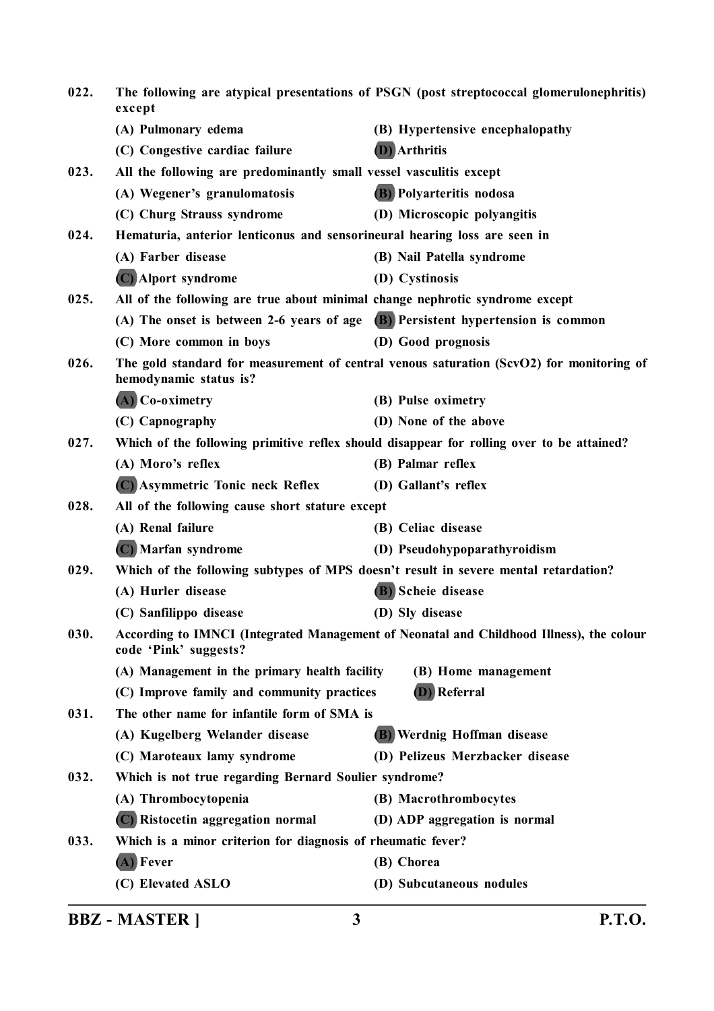| 022. | except                                                                              | The following are atypical presentations of PSGN (post streptococcal glomerulonephritis)  |
|------|-------------------------------------------------------------------------------------|-------------------------------------------------------------------------------------------|
|      | (A) Pulmonary edema                                                                 | (B) Hypertensive encephalopathy                                                           |
|      | (C) Congestive cardiac failure                                                      | <b>(D)</b> Arthritis                                                                      |
| 023. | All the following are predominantly small vessel vasculitis except                  |                                                                                           |
|      | (A) Wegener's granulomatosis                                                        | <b>(B)</b> Polyarteritis nodosa                                                           |
|      | (C) Churg Strauss syndrome                                                          | (D) Microscopic polyangitis                                                               |
| 024. | Hematuria, anterior lenticonus and sensorineural hearing loss are seen in           |                                                                                           |
|      | (A) Farber disease                                                                  | (B) Nail Patella syndrome                                                                 |
|      | (C) Alport syndrome                                                                 | (D) Cystinosis                                                                            |
| 025. | All of the following are true about minimal change nephrotic syndrome except        |                                                                                           |
|      | (A) The onset is between 2-6 years of age $(B)$ Persistent hypertension is common   |                                                                                           |
|      | (C) More common in boys                                                             | (D) Good prognosis                                                                        |
| 026. | hemodynamic status is?                                                              | The gold standard for measurement of central venous saturation (ScvO2) for monitoring of  |
|      | $(A)$ Co-oximetry                                                                   | (B) Pulse oximetry                                                                        |
|      | (C) Capnography                                                                     | (D) None of the above                                                                     |
| 027. |                                                                                     | Which of the following primitive reflex should disappear for rolling over to be attained? |
|      | (A) Moro's reflex                                                                   | (B) Palmar reflex                                                                         |
|      | (C) Asymmetric Tonic neck Reflex                                                    | (D) Gallant's reflex                                                                      |
| 028. | All of the following cause short stature except                                     |                                                                                           |
|      | (A) Renal failure                                                                   | (B) Celiac disease                                                                        |
|      | (C) Marfan syndrome                                                                 | (D) Pseudohypoparathyroidism                                                              |
| 029. | Which of the following subtypes of MPS doesn't result in severe mental retardation? |                                                                                           |
|      | (A) Hurler disease                                                                  | (B) Scheie disease                                                                        |
|      | (C) Sanfilippo disease                                                              | (D) Sly disease                                                                           |
| 030. | code 'Pink' suggests?                                                               | According to IMNCI (Integrated Management of Neonatal and Childhood Illness), the colour  |
|      | (A) Management in the primary health facility                                       | (B) Home management                                                                       |
|      | (C) Improve family and community practices                                          | <b>(D)</b> Referral                                                                       |
| 031. | The other name for infantile form of SMA is                                         |                                                                                           |
|      | (A) Kugelberg Welander disease                                                      | (B) Werdnig Hoffman disease                                                               |
|      | (C) Maroteaux lamy syndrome                                                         | (D) Pelizeus Merzbacker disease                                                           |
| 032. | Which is not true regarding Bernard Soulier syndrome?                               |                                                                                           |
|      | (A) Thrombocytopenia                                                                | (B) Macrothrombocytes                                                                     |
|      | (C) Ristocetin aggregation normal                                                   | (D) ADP aggregation is normal                                                             |
| 033. | Which is a minor criterion for diagnosis of rheumatic fever?                        |                                                                                           |
|      | (A) Fever                                                                           | (B) Chorea                                                                                |
|      | (C) Elevated ASLO                                                                   | (D) Subcutaneous nodules                                                                  |
|      |                                                                                     |                                                                                           |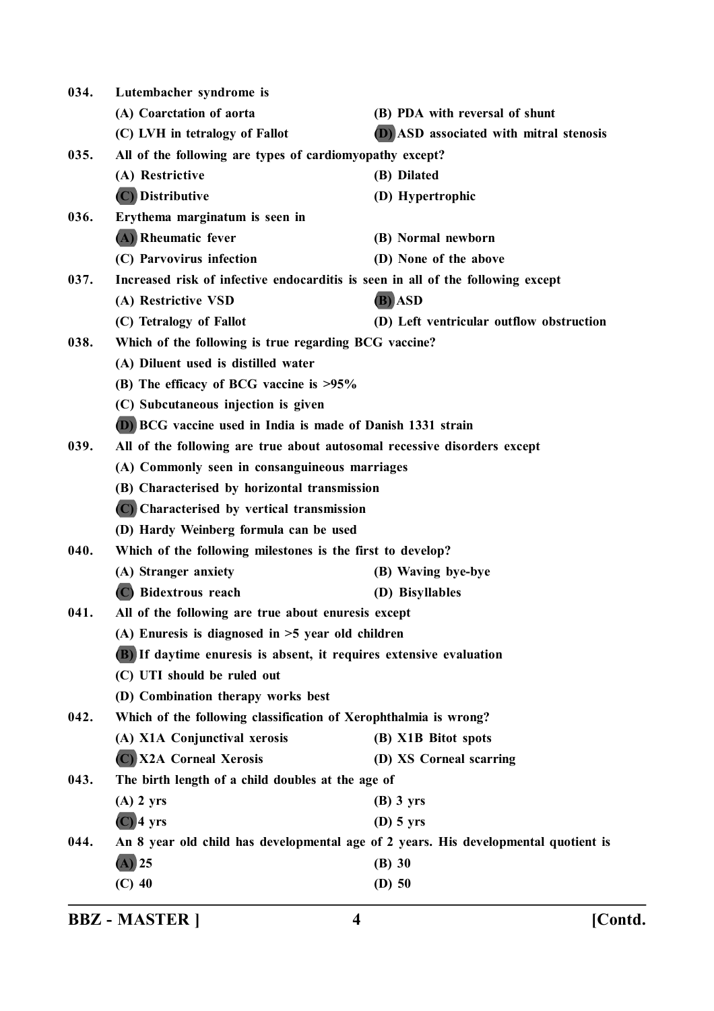| 034. | Lutembacher syndrome is                                                             |                                          |
|------|-------------------------------------------------------------------------------------|------------------------------------------|
|      | (A) Coarctation of aorta                                                            | (B) PDA with reversal of shunt           |
|      | (C) LVH in tetralogy of Fallot                                                      | (D) ASD associated with mitral stenosis  |
| 035. | All of the following are types of cardiomyopathy except?                            |                                          |
|      | (A) Restrictive                                                                     | (B) Dilated                              |
|      | (C) Distributive                                                                    | (D) Hypertrophic                         |
| 036. | Erythema marginatum is seen in                                                      |                                          |
|      | (A) Rheumatic fever                                                                 | (B) Normal newborn                       |
|      | (C) Parvovirus infection                                                            | (D) None of the above                    |
| 037. | Increased risk of infective endocarditis is seen in all of the following except     |                                          |
|      | (A) Restrictive VSD                                                                 | (B) ASD                                  |
|      | (C) Tetralogy of Fallot                                                             | (D) Left ventricular outflow obstruction |
| 038. | Which of the following is true regarding BCG vaccine?                               |                                          |
|      | (A) Diluent used is distilled water                                                 |                                          |
|      | (B) The efficacy of BCG vaccine is >95%                                             |                                          |
|      | (C) Subcutaneous injection is given                                                 |                                          |
|      | (D) BCG vaccine used in India is made of Danish 1331 strain                         |                                          |
| 039. | All of the following are true about autosomal recessive disorders except            |                                          |
|      | (A) Commonly seen in consanguineous marriages                                       |                                          |
|      | (B) Characterised by horizontal transmission                                        |                                          |
|      | (C) Characterised by vertical transmission                                          |                                          |
|      | (D) Hardy Weinberg formula can be used                                              |                                          |
| 040. | Which of the following milestones is the first to develop?                          |                                          |
|      | (A) Stranger anxiety                                                                | (B) Waving bye-bye                       |
|      | (C) Bidextrous reach                                                                | (D) Bisyllables                          |
| 041. | All of the following are true about enuresis except                                 |                                          |
|      | (A) Enuresis is diagnosed in $>5$ year old children                                 |                                          |
|      | (B) If daytime enuresis is absent, it requires extensive evaluation                 |                                          |
|      | (C) UTI should be ruled out                                                         |                                          |
|      | (D) Combination therapy works best                                                  |                                          |
| 042. | Which of the following classification of Xerophthalmia is wrong?                    |                                          |
|      | (A) X1A Conjunctival xerosis                                                        | (B) X1B Bitot spots                      |
|      | (C) X2A Corneal Xerosis                                                             | (D) XS Corneal scarring                  |
| 043. | The birth length of a child doubles at the age of                                   |                                          |
|      | $(A)$ 2 yrs                                                                         | $(B)$ 3 yrs                              |
|      | $(C)$ 4 yrs                                                                         | $(D)$ 5 yrs                              |
| 044. | An 8 year old child has developmental age of 2 years. His developmental quotient is |                                          |
|      | $(A)$ 25                                                                            | $(B)$ 30                                 |
|      | $(C)$ 40                                                                            | $(D)$ 50                                 |

**BBZ - MASTER ] 4 [Contd.**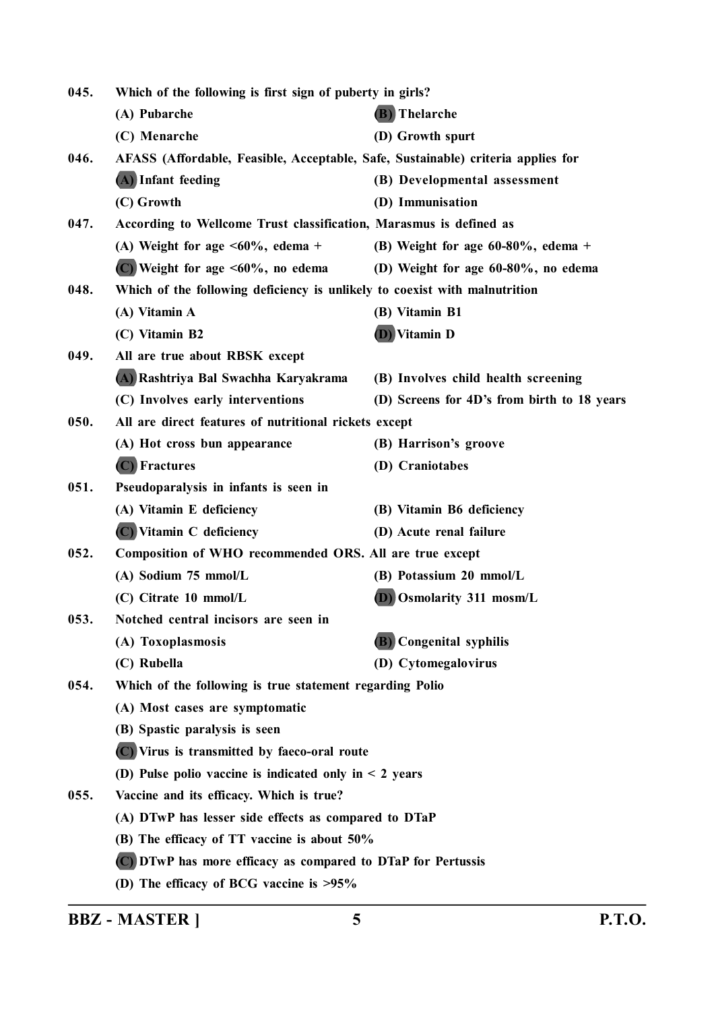| 045. | Which of the following is first sign of puberty in girls?                        |                                             |
|------|----------------------------------------------------------------------------------|---------------------------------------------|
|      | (A) Pubarche                                                                     | (B) Thelarche                               |
|      | (C) Menarche                                                                     | (D) Growth spurt                            |
| 046. | AFASS (Affordable, Feasible, Acceptable, Safe, Sustainable) criteria applies for |                                             |
|      | (A) Infant feeding                                                               | (B) Developmental assessment                |
|      | (C) Growth                                                                       | (D) Immunisation                            |
| 047. | According to Wellcome Trust classification, Marasmus is defined as               |                                             |
|      | (A) Weight for age $\leq 60\%$ , edema +                                         | (B) Weight for age $60-80\%$ , edema +      |
|      | $(C)$ Weight for age $\leq 60\%$ , no edema                                      | (D) Weight for age 60-80%, no edema         |
| 048. | Which of the following deficiency is unlikely to coexist with malnutrition       |                                             |
|      | (A) Vitamin A                                                                    | (B) Vitamin B1                              |
|      | (C) Vitamin B2                                                                   | (D) Vitamin D                               |
| 049. | All are true about RBSK except                                                   |                                             |
|      | (A) Rashtriya Bal Swachha Karyakrama                                             | (B) Involves child health screening         |
|      | (C) Involves early interventions                                                 | (D) Screens for 4D's from birth to 18 years |
| 050. | All are direct features of nutritional rickets except                            |                                             |
|      | (A) Hot cross bun appearance                                                     | (B) Harrison's groove                       |
|      | (C) Fractures                                                                    | (D) Craniotabes                             |
| 051. | Pseudoparalysis in infants is seen in                                            |                                             |
|      | (A) Vitamin E deficiency                                                         | (B) Vitamin B6 deficiency                   |
|      | (C) Vitamin C deficiency                                                         | (D) Acute renal failure                     |
| 052. | Composition of WHO recommended ORS. All are true except                          |                                             |
|      | (A) Sodium 75 mmol/L                                                             | (B) Potassium 20 mmol/L                     |
|      | (C) Citrate 10 mmol/L                                                            | (D) Osmolarity 311 mosm/L                   |
| 053. | Notched central incisors are seen in                                             |                                             |
|      | (A) Toxoplasmosis                                                                | <b>(B)</b> Congenital syphilis              |
|      | (C) Rubella                                                                      | (D) Cytomegalovirus                         |
| 054. | Which of the following is true statement regarding Polio                         |                                             |
|      | (A) Most cases are symptomatic                                                   |                                             |
|      | (B) Spastic paralysis is seen                                                    |                                             |
|      | (C) Virus is transmitted by faeco-oral route                                     |                                             |
|      | (D) Pulse polio vaccine is indicated only in $\leq 2$ years                      |                                             |
| 055. | Vaccine and its efficacy. Which is true?                                         |                                             |
|      | (A) DTwP has lesser side effects as compared to DTaP                             |                                             |
|      | (B) The efficacy of TT vaccine is about 50%                                      |                                             |
|      | (C) DTwP has more efficacy as compared to DTaP for Pertussis                     |                                             |
|      | (D) The efficacy of BCG vaccine is $>95\%$                                       |                                             |

**BBZ - MASTER ] 5 P.T.O.**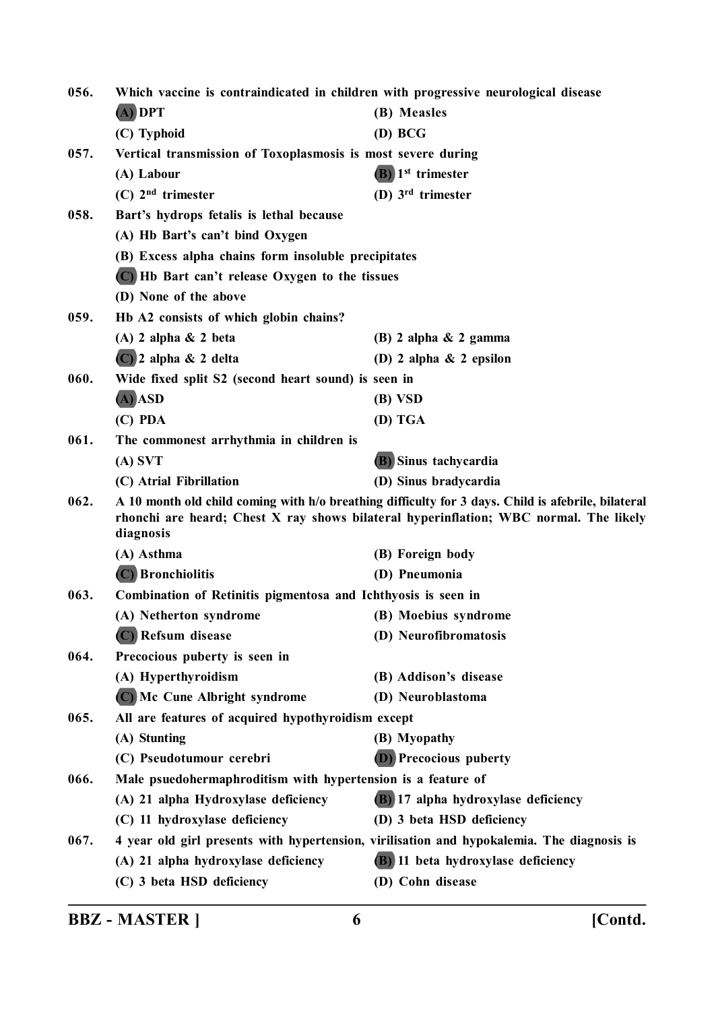| 056. | Which vaccine is contraindicated in children with progressive neurological disease                                                                                                                       |                                                                                            |  |
|------|----------------------------------------------------------------------------------------------------------------------------------------------------------------------------------------------------------|--------------------------------------------------------------------------------------------|--|
|      | $(A)$ DPT                                                                                                                                                                                                | (B) Measles                                                                                |  |
|      | (C) Typhoid                                                                                                                                                                                              | $(D)$ BCG                                                                                  |  |
| 057. | Vertical transmission of Toxoplasmosis is most severe during                                                                                                                                             |                                                                                            |  |
|      | (A) Labour                                                                                                                                                                                               | $(B)$ 1 <sup>st</sup> trimester                                                            |  |
|      | $(C)$ 2 <sup>nd</sup> trimester                                                                                                                                                                          | (D) $3^{\text{rd}}$ trimester                                                              |  |
| 058. | Bart's hydrops fetalis is lethal because                                                                                                                                                                 |                                                                                            |  |
|      | (A) Hb Bart's can't bind Oxygen                                                                                                                                                                          |                                                                                            |  |
|      | (B) Excess alpha chains form insoluble precipitates                                                                                                                                                      |                                                                                            |  |
|      | (C) Hb Bart can't release Oxygen to the tissues                                                                                                                                                          |                                                                                            |  |
|      | (D) None of the above                                                                                                                                                                                    |                                                                                            |  |
| 059. | Hb A2 consists of which globin chains?                                                                                                                                                                   |                                                                                            |  |
|      | $(A)$ 2 alpha $\&$ 2 beta                                                                                                                                                                                | $(B)$ 2 alpha & 2 gamma                                                                    |  |
|      | $(C)$ 2 alpha & 2 delta                                                                                                                                                                                  | (D) 2 alpha $\&$ 2 epsilon                                                                 |  |
| 060. | Wide fixed split S2 (second heart sound) is seen in                                                                                                                                                      |                                                                                            |  |
|      | (A) ASD                                                                                                                                                                                                  | (B) VSD                                                                                    |  |
|      | $(C)$ PDA                                                                                                                                                                                                | (D) TGA                                                                                    |  |
| 061. | The commonest arrhythmia in children is                                                                                                                                                                  |                                                                                            |  |
|      | $(A)$ SVT                                                                                                                                                                                                | <b>(B)</b> Sinus tachycardia                                                               |  |
|      | (C) Atrial Fibrillation                                                                                                                                                                                  | (D) Sinus bradycardia                                                                      |  |
| 062. | A 10 month old child coming with h/o breathing difficulty for 3 days. Child is afebrile, bilateral<br>rhonchi are heard; Chest X ray shows bilateral hyperinflation; WBC normal. The likely<br>diagnosis |                                                                                            |  |
|      | (A) Asthma                                                                                                                                                                                               | (B) Foreign body                                                                           |  |
|      | (C) Bronchiolitis                                                                                                                                                                                        | (D) Pneumonia                                                                              |  |
| 063. | Combination of Retinitis pigmentosa and Ichthyosis is seen in                                                                                                                                            |                                                                                            |  |
|      | (A) Netherton syndrome                                                                                                                                                                                   | (B) Moebius syndrome                                                                       |  |
|      | (C) Refsum disease                                                                                                                                                                                       | (D) Neurofibromatosis                                                                      |  |
| 064. | Precocious puberty is seen in                                                                                                                                                                            |                                                                                            |  |
|      | (A) Hyperthyroidism                                                                                                                                                                                      | (B) Addison's disease                                                                      |  |
|      | (C) Mc Cune Albright syndrome                                                                                                                                                                            | (D) Neuroblastoma                                                                          |  |
| 065. | All are features of acquired hypothyroidism except                                                                                                                                                       |                                                                                            |  |
|      | (A) Stunting                                                                                                                                                                                             | (B) Myopathy                                                                               |  |
|      | (C) Pseudotumour cerebri                                                                                                                                                                                 | <b>(D)</b> Precocious puberty                                                              |  |
| 066. | Male psuedohermaphroditism with hypertension is a feature of                                                                                                                                             |                                                                                            |  |
|      | (A) 21 alpha Hydroxylase deficiency                                                                                                                                                                      | (B) 17 alpha hydroxylase deficiency                                                        |  |
|      | (C) 11 hydroxylase deficiency                                                                                                                                                                            | (D) 3 beta HSD deficiency                                                                  |  |
| 067. |                                                                                                                                                                                                          | 4 year old girl presents with hypertension, virilisation and hypokalemia. The diagnosis is |  |
|      | (A) 21 alpha hydroxylase deficiency                                                                                                                                                                      | (B) 11 beta hydroxylase deficiency                                                         |  |
|      | (C) 3 beta HSD deficiency                                                                                                                                                                                | (D) Cohn disease                                                                           |  |
|      |                                                                                                                                                                                                          |                                                                                            |  |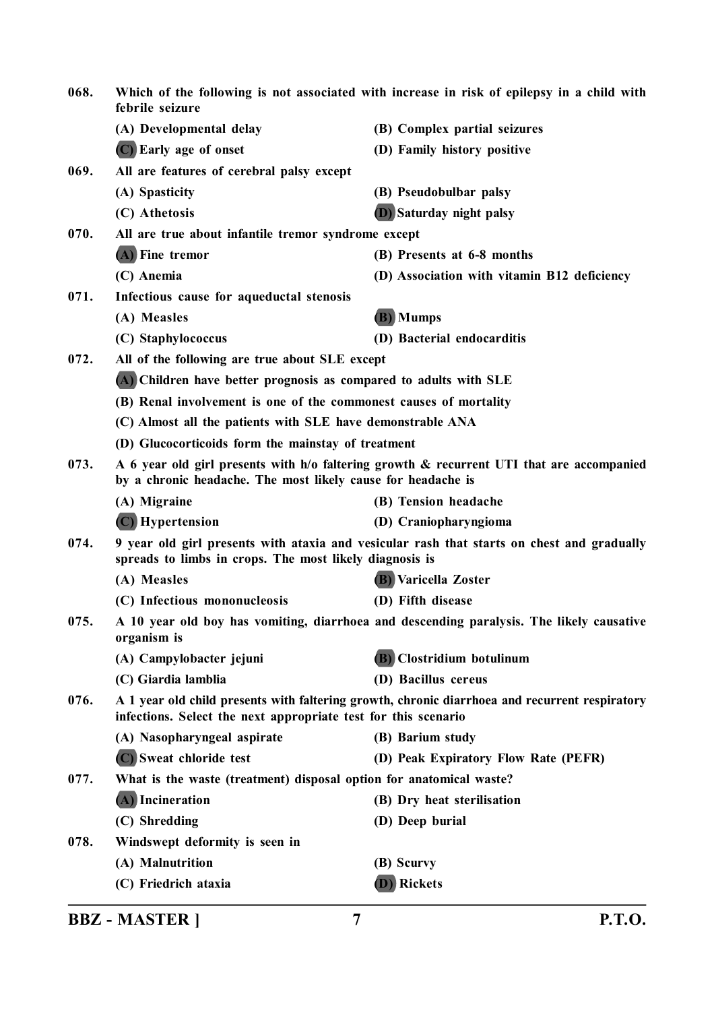| 068. | Which of the following is not associated with increase in risk of epilepsy in a child with<br>febrile seizure |                                                                                                |
|------|---------------------------------------------------------------------------------------------------------------|------------------------------------------------------------------------------------------------|
|      | (A) Developmental delay                                                                                       | (B) Complex partial seizures                                                                   |
|      | (C) Early age of onset                                                                                        | (D) Family history positive                                                                    |
| 069. | All are features of cerebral palsy except                                                                     |                                                                                                |
|      | (A) Spasticity                                                                                                | (B) Pseudobulbar palsy                                                                         |
|      | (C) Athetosis                                                                                                 | <b>(D)</b> Saturday night palsy                                                                |
| 070. | All are true about infantile tremor syndrome except                                                           |                                                                                                |
|      | $(A)$ Fine tremor                                                                                             | (B) Presents at 6-8 months                                                                     |
|      | (C) Anemia                                                                                                    | (D) Association with vitamin B12 deficiency                                                    |
| 071. | Infectious cause for aqueductal stenosis                                                                      |                                                                                                |
|      | (A) Measles                                                                                                   | (B) Mumps                                                                                      |
|      | (C) Staphylococcus                                                                                            | (D) Bacterial endocarditis                                                                     |
| 072. | All of the following are true about SLE except                                                                |                                                                                                |
|      | (A) Children have better prognosis as compared to adults with SLE                                             |                                                                                                |
|      | (B) Renal involvement is one of the commonest causes of mortality                                             |                                                                                                |
|      | (C) Almost all the patients with SLE have demonstrable ANA                                                    |                                                                                                |
|      | (D) Glucocorticoids form the mainstay of treatment                                                            |                                                                                                |
| 073. | by a chronic headache. The most likely cause for headache is                                                  | A 6 year old girl presents with h/o faltering growth & recurrent UTI that are accompanied      |
|      | (A) Migraine                                                                                                  | (B) Tension headache                                                                           |
|      | (C) Hypertension                                                                                              | (D) Craniopharyngioma                                                                          |
| 074. | spreads to limbs in crops. The most likely diagnosis is                                                       | 9 year old girl presents with ataxia and vesicular rash that starts on chest and gradually     |
|      | (A) Measles                                                                                                   | (B) Varicella Zoster                                                                           |
|      | (C) Infectious mononucleosis                                                                                  | (D) Fifth disease                                                                              |
| 075. | organism is                                                                                                   | A 10 year old boy has vomiting, diarrhoea and descending paralysis. The likely causative       |
|      | (A) Campylobacter jejuni                                                                                      | (B) Clostridium botulinum                                                                      |
|      | (C) Giardia lamblia                                                                                           | (D) Bacillus cereus                                                                            |
| 076. | infections. Select the next appropriate test for this scenario                                                | A 1 year old child presents with faltering growth, chronic diarrhoea and recurrent respiratory |
|      | (A) Nasopharyngeal aspirate                                                                                   | (B) Barium study                                                                               |
|      | (C) Sweat chloride test                                                                                       | (D) Peak Expiratory Flow Rate (PEFR)                                                           |
| 077. | What is the waste (treatment) disposal option for anatomical waste?                                           |                                                                                                |
|      | (A) Incineration                                                                                              | (B) Dry heat sterilisation                                                                     |
|      | (C) Shredding                                                                                                 | (D) Deep burial                                                                                |
| 078. | Windswept deformity is seen in                                                                                |                                                                                                |
|      | (A) Malnutrition                                                                                              | (B) Scurvy                                                                                     |
|      | (C) Friedrich ataxia                                                                                          | (D) Rickets                                                                                    |

**BBZ - MASTER ] 7 P.T.O.**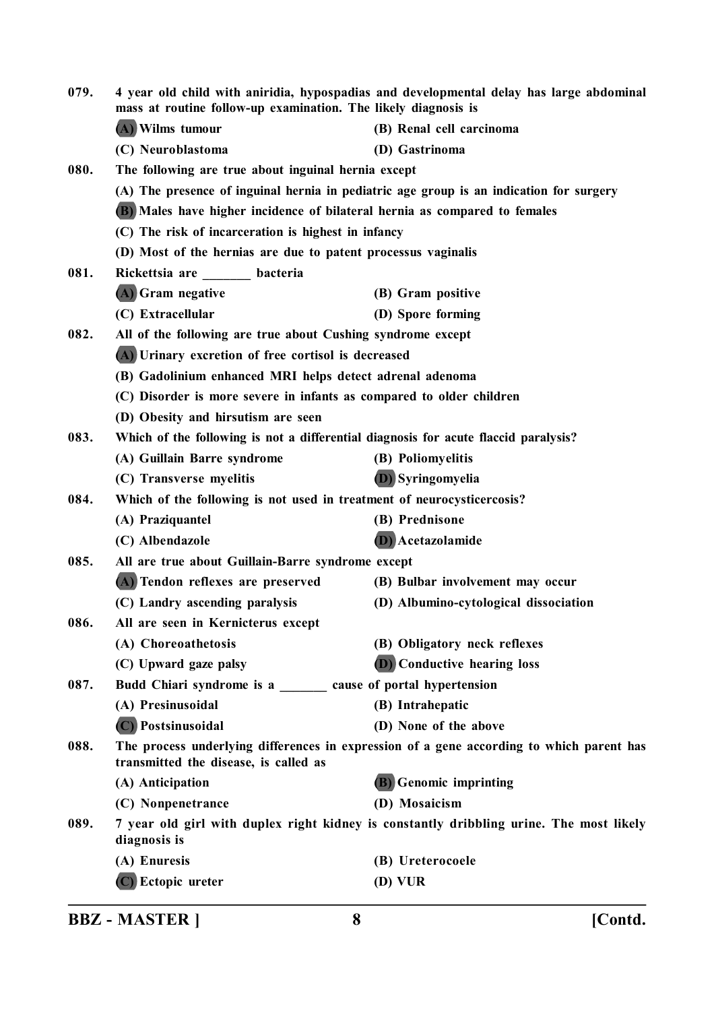| 079. | 4 year old child with aniridia, hypospadias and developmental delay has large abdominal<br>mass at routine follow-up examination. The likely diagnosis is |                                                                                         |  |  |
|------|-----------------------------------------------------------------------------------------------------------------------------------------------------------|-----------------------------------------------------------------------------------------|--|--|
|      | (A) Wilms tumour                                                                                                                                          | (B) Renal cell carcinoma                                                                |  |  |
|      | (C) Neuroblastoma                                                                                                                                         | (D) Gastrinoma                                                                          |  |  |
| 080. | The following are true about inguinal hernia except                                                                                                       |                                                                                         |  |  |
|      | (A) The presence of inguinal hernia in pediatric age group is an indication for surgery                                                                   |                                                                                         |  |  |
|      | (B) Males have higher incidence of bilateral hernia as compared to females                                                                                |                                                                                         |  |  |
|      | (C) The risk of incarceration is highest in infancy                                                                                                       |                                                                                         |  |  |
|      |                                                                                                                                                           | (D) Most of the hernias are due to patent processus vaginalis                           |  |  |
| 081. | Rickettsia are _____ bacteria                                                                                                                             |                                                                                         |  |  |
|      | (A) Gram negative                                                                                                                                         | (B) Gram positive                                                                       |  |  |
|      | (C) Extracellular                                                                                                                                         | (D) Spore forming                                                                       |  |  |
| 082. | All of the following are true about Cushing syndrome except                                                                                               |                                                                                         |  |  |
|      |                                                                                                                                                           | (A) Urinary excretion of free cortisol is decreased                                     |  |  |
|      | (B) Gadolinium enhanced MRI helps detect adrenal adenoma                                                                                                  |                                                                                         |  |  |
|      | (C) Disorder is more severe in infants as compared to older children                                                                                      |                                                                                         |  |  |
|      | (D) Obesity and hirsutism are seen                                                                                                                        |                                                                                         |  |  |
| 083. | Which of the following is not a differential diagnosis for acute flaccid paralysis?                                                                       |                                                                                         |  |  |
|      | (A) Guillain Barre syndrome                                                                                                                               | (B) Poliomyelitis                                                                       |  |  |
|      | (C) Transverse myelitis                                                                                                                                   | <b>(D)</b> Syringomyelia                                                                |  |  |
| 084. | Which of the following is not used in treatment of neurocysticercosis?                                                                                    |                                                                                         |  |  |
|      | (A) Praziquantel                                                                                                                                          | (B) Prednisone                                                                          |  |  |
|      | (C) Albendazole                                                                                                                                           | (D) Acetazolamide                                                                       |  |  |
| 085. | All are true about Guillain-Barre syndrome except                                                                                                         |                                                                                         |  |  |
|      | (A) Tendon reflexes are preserved                                                                                                                         | (B) Bulbar involvement may occur                                                        |  |  |
|      | (C) Landry ascending paralysis                                                                                                                            | (D) Albumino-cytological dissociation                                                   |  |  |
| 086. | All are seen in Kernicterus except                                                                                                                        |                                                                                         |  |  |
|      | (A) Choreoathetosis                                                                                                                                       | (B) Obligatory neck reflexes                                                            |  |  |
|      | (C) Upward gaze palsy                                                                                                                                     | <b>D</b> ) Conductive hearing loss                                                      |  |  |
| 087. | Budd Chiari syndrome is a _______ cause of portal hypertension                                                                                            |                                                                                         |  |  |
|      | (A) Presinusoidal                                                                                                                                         | (B) Intrahepatic                                                                        |  |  |
|      | (C) Postsinusoidal                                                                                                                                        | (D) None of the above                                                                   |  |  |
| 088. | The process underlying differences in expression of a gene according to which parent has<br>transmitted the disease, is called as                         |                                                                                         |  |  |
|      | (A) Anticipation                                                                                                                                          | <b>(B)</b> Genomic imprinting                                                           |  |  |
|      | (C) Nonpenetrance                                                                                                                                         | (D) Mosaicism                                                                           |  |  |
| 089. | diagnosis is                                                                                                                                              | 7 year old girl with duplex right kidney is constantly dribbling urine. The most likely |  |  |
|      | (A) Enuresis                                                                                                                                              | (B) Ureterocoele                                                                        |  |  |
|      | (C) Ectopic ureter                                                                                                                                        | $(D)$ VUR                                                                               |  |  |
|      |                                                                                                                                                           |                                                                                         |  |  |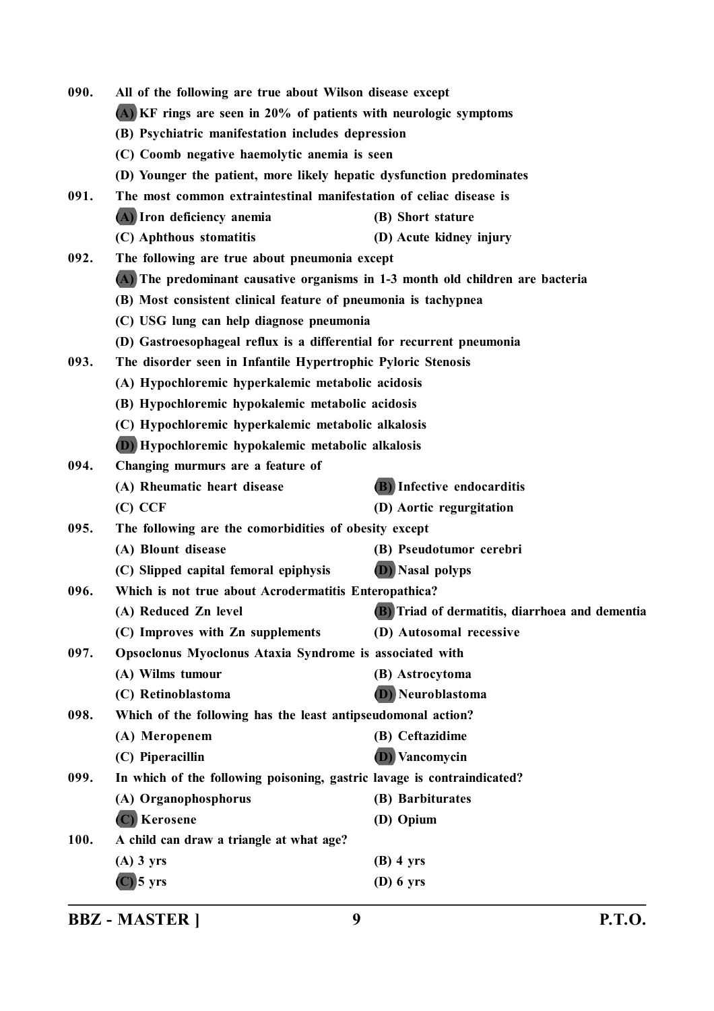| 090. | All of the following are true about Wilson disease except                      |                                                 |  |
|------|--------------------------------------------------------------------------------|-------------------------------------------------|--|
|      | (A) KF rings are seen in 20% of patients with neurologic symptoms              |                                                 |  |
|      | (B) Psychiatric manifestation includes depression                              |                                                 |  |
|      | (C) Coomb negative haemolytic anemia is seen                                   |                                                 |  |
|      | (D) Younger the patient, more likely hepatic dysfunction predominates          |                                                 |  |
| 091. | The most common extraintestinal manifestation of celiac disease is             |                                                 |  |
|      | (A) Iron deficiency anemia                                                     | (B) Short stature                               |  |
|      | (C) Aphthous stomatitis                                                        | (D) Acute kidney injury                         |  |
| 092. | The following are true about pneumonia except                                  |                                                 |  |
|      | (A) The predominant causative organisms in 1-3 month old children are bacteria |                                                 |  |
|      | (B) Most consistent clinical feature of pneumonia is tachypnea                 |                                                 |  |
|      | (C) USG lung can help diagnose pneumonia                                       |                                                 |  |
|      | (D) Gastroesophageal reflux is a differential for recurrent pneumonia          |                                                 |  |
| 093. | The disorder seen in Infantile Hypertrophic Pyloric Stenosis                   |                                                 |  |
|      | (A) Hypochloremic hyperkalemic metabolic acidosis                              |                                                 |  |
|      | (B) Hypochloremic hypokalemic metabolic acidosis                               |                                                 |  |
|      | (C) Hypochloremic hyperkalemic metabolic alkalosis                             |                                                 |  |
|      | (D) Hypochloremic hypokalemic metabolic alkalosis                              |                                                 |  |
| 094. | Changing murmurs are a feature of                                              |                                                 |  |
|      | (A) Rheumatic heart disease                                                    | <b>(B)</b> Infective endocarditis               |  |
|      | $(C)$ $CCF$                                                                    | (D) Aortic regurgitation                        |  |
| 095. | The following are the comorbidities of obesity except                          |                                                 |  |
|      | (A) Blount disease                                                             | (B) Pseudotumor cerebri                         |  |
|      | (C) Slipped capital femoral epiphysis                                          | <b>(D)</b> Nasal polyps                         |  |
| 096. | Which is not true about Acrodermatitis Enteropathica?                          |                                                 |  |
|      | (A) Reduced Zn level                                                           | (B) Triad of dermatitis, diarrhoea and dementia |  |
|      | (C) Improves with Zn supplements                                               | (D) Autosomal recessive                         |  |
| 097. | Opsoclonus Myoclonus Ataxia Syndrome is associated with                        |                                                 |  |
|      | (A) Wilms tumour                                                               | (B) Astrocytoma                                 |  |
|      | (C) Retinoblastoma                                                             | <b>(D)</b> Neuroblastoma                        |  |
| 098. | Which of the following has the least antipseudomonal action?                   |                                                 |  |
|      | (A) Meropenem                                                                  | (B) Ceftazidime                                 |  |
|      | (C) Piperacillin                                                               | <b>D</b> ) Vancomycin                           |  |
| 099. | In which of the following poisoning, gastric lavage is contraindicated?        |                                                 |  |
|      | (A) Organophosphorus                                                           | (B) Barbiturates                                |  |
|      | (C) Kerosene                                                                   | (D) Opium                                       |  |
| 100. | A child can draw a triangle at what age?                                       |                                                 |  |
|      | $(A)$ 3 yrs                                                                    | $(B)$ 4 yrs                                     |  |
|      | $(C)$ 5 yrs                                                                    | $(D)$ 6 yrs                                     |  |
|      |                                                                                |                                                 |  |

**BBZ - MASTER ] 9 P.T.O.**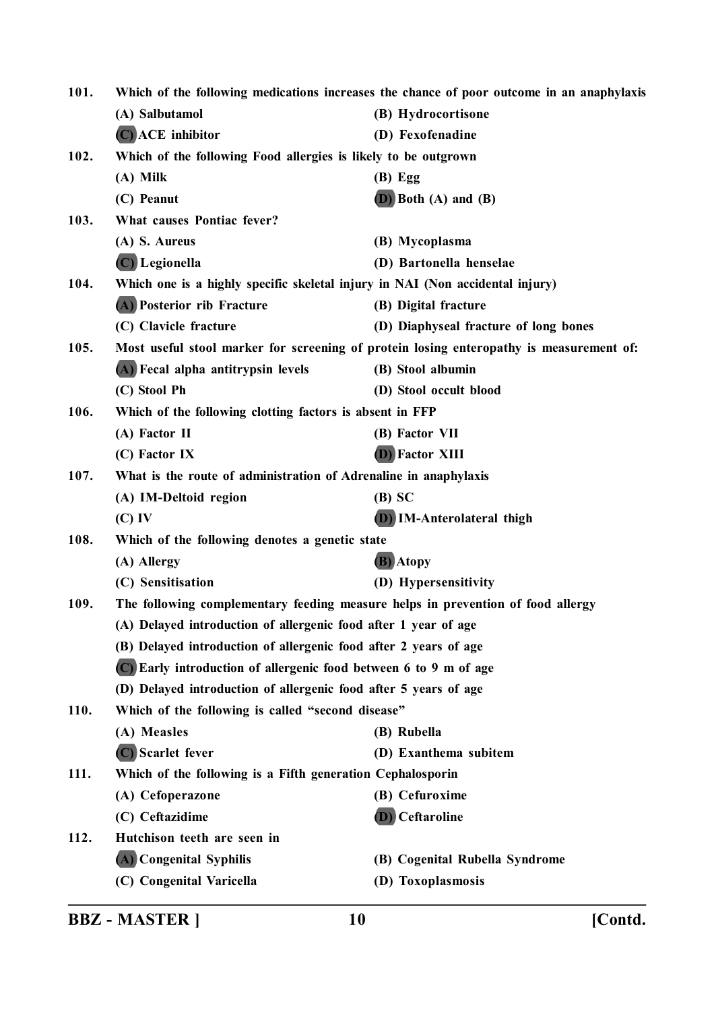| 101.<br>Which of the following medications increases the chance of poor outcome in an anaphylaxis |                                                                                         |                                       |  |
|---------------------------------------------------------------------------------------------------|-----------------------------------------------------------------------------------------|---------------------------------------|--|
|                                                                                                   | (A) Salbutamol                                                                          | (B) Hydrocortisone                    |  |
|                                                                                                   | $(C)$ ACE inhibitor                                                                     | (D) Fexofenadine                      |  |
| 102.                                                                                              | Which of the following Food allergies is likely to be outgrown                          |                                       |  |
|                                                                                                   | $(A)$ Milk                                                                              | $(B)$ Egg                             |  |
|                                                                                                   | (C) Peanut                                                                              | $(D)$ Both $(A)$ and $(B)$            |  |
| 103.                                                                                              | What causes Pontiac fever?                                                              |                                       |  |
|                                                                                                   | (A) S. Aureus                                                                           | (B) Mycoplasma                        |  |
|                                                                                                   | $(C)$ Legionella                                                                        | (D) Bartonella henselae               |  |
| 104.                                                                                              | Which one is a highly specific skeletal injury in NAI (Non accidental injury)           |                                       |  |
|                                                                                                   | (A) Posterior rib Fracture                                                              | (B) Digital fracture                  |  |
|                                                                                                   | (C) Clavicle fracture                                                                   | (D) Diaphyseal fracture of long bones |  |
| 105.                                                                                              | Most useful stool marker for screening of protein losing enteropathy is measurement of: |                                       |  |
|                                                                                                   | (A) Fecal alpha antitrypsin levels                                                      | (B) Stool albumin                     |  |
|                                                                                                   | (C) Stool Ph                                                                            | (D) Stool occult blood                |  |
| 106.                                                                                              | Which of the following clotting factors is absent in FFP                                |                                       |  |
|                                                                                                   | (A) Factor II                                                                           | (B) Factor VII                        |  |
|                                                                                                   | (C) Factor IX                                                                           | (D) Factor XIII                       |  |
| 107.                                                                                              | What is the route of administration of Adrenaline in anaphylaxis                        |                                       |  |
|                                                                                                   | (A) IM-Deltoid region                                                                   | $(B)$ SC                              |  |
|                                                                                                   | (C) IV                                                                                  | (D) IM-Anterolateral thigh            |  |
| 108.                                                                                              | Which of the following denotes a genetic state                                          |                                       |  |
|                                                                                                   | (A) Allergy                                                                             | (B) Atopy                             |  |
|                                                                                                   | (C) Sensitisation                                                                       | (D) Hypersensitivity                  |  |
| 109.                                                                                              | The following complementary feeding measure helps in prevention of food allergy         |                                       |  |
|                                                                                                   | (A) Delayed introduction of allergenic food after 1 year of age                         |                                       |  |
|                                                                                                   | (B) Delayed introduction of allergenic food after 2 years of age                        |                                       |  |
|                                                                                                   | (C) Early introduction of allergenic food between 6 to 9 m of age                       |                                       |  |
|                                                                                                   | (D) Delayed introduction of allergenic food after 5 years of age                        |                                       |  |
| 110.                                                                                              | Which of the following is called "second disease"                                       |                                       |  |
|                                                                                                   | (A) Measles                                                                             | (B) Rubella                           |  |
|                                                                                                   | (C) Scarlet fever                                                                       | (D) Exanthema subitem                 |  |
| 111.                                                                                              | Which of the following is a Fifth generation Cephalosporin                              |                                       |  |
|                                                                                                   | (A) Cefoperazone                                                                        | (B) Cefuroxime                        |  |
|                                                                                                   | (C) Ceftazidime                                                                         | <b>(D)</b> Ceftaroline                |  |
| 112.                                                                                              | Hutchison teeth are seen in                                                             |                                       |  |
|                                                                                                   | (A) Congenital Syphilis                                                                 | (B) Cogenital Rubella Syndrome        |  |
|                                                                                                   | (C) Congenital Varicella                                                                | (D) Toxoplasmosis                     |  |
|                                                                                                   |                                                                                         |                                       |  |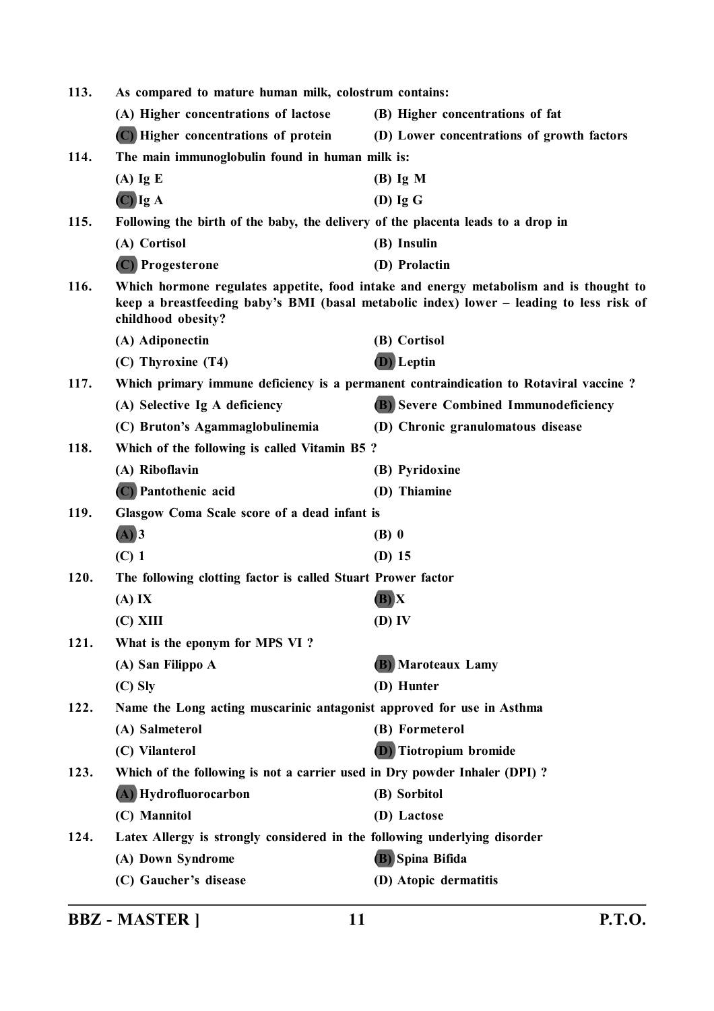| 113. | As compared to mature human milk, colostrum contains:                            |                                                                                                                                                                                  |
|------|----------------------------------------------------------------------------------|----------------------------------------------------------------------------------------------------------------------------------------------------------------------------------|
|      | (A) Higher concentrations of lactose                                             | (B) Higher concentrations of fat                                                                                                                                                 |
|      | (C) Higher concentrations of protein                                             | (D) Lower concentrations of growth factors                                                                                                                                       |
| 114. | The main immunoglobulin found in human milk is:                                  |                                                                                                                                                                                  |
|      | $(A)$ Ig E                                                                       | $(B)$ Ig M                                                                                                                                                                       |
|      | $\overline{C}$ Ig A                                                              | $(D)$ Ig $G$                                                                                                                                                                     |
| 115. | Following the birth of the baby, the delivery of the placenta leads to a drop in |                                                                                                                                                                                  |
|      | (A) Cortisol                                                                     | (B) Insulin                                                                                                                                                                      |
|      | (C) Progesterone                                                                 | (D) Prolactin                                                                                                                                                                    |
| 116. | childhood obesity?                                                               | Which hormone regulates appetite, food intake and energy metabolism and is thought to<br>keep a breastfeeding baby's BMI (basal metabolic index) lower - leading to less risk of |
|      | (A) Adiponectin                                                                  | (B) Cortisol                                                                                                                                                                     |
|      | (C) Thyroxine (T4)                                                               | (D) Leptin                                                                                                                                                                       |
| 117. |                                                                                  | Which primary immune deficiency is a permanent contraindication to Rotaviral vaccine?                                                                                            |
|      | (A) Selective Ig A deficiency                                                    | <b>(B)</b> Severe Combined Immunodeficiency                                                                                                                                      |
|      | (C) Bruton's Agammaglobulinemia                                                  | (D) Chronic granulomatous disease                                                                                                                                                |
| 118. | Which of the following is called Vitamin B5?                                     |                                                                                                                                                                                  |
|      | (A) Riboflavin                                                                   | (B) Pyridoxine                                                                                                                                                                   |
|      | (C) Pantothenic acid                                                             | (D) Thiamine                                                                                                                                                                     |
| 119. | Glasgow Coma Scale score of a dead infant is                                     |                                                                                                                                                                                  |
|      | $(A)$ 3                                                                          | (B) 0                                                                                                                                                                            |
|      | $(C)$ 1                                                                          | $(D)$ 15                                                                                                                                                                         |
| 120. | The following clotting factor is called Stuart Prower factor                     |                                                                                                                                                                                  |
|      | (A) IX                                                                           | $(B)$ $X$                                                                                                                                                                        |
|      | (C) XIII                                                                         | $(D)$ IV                                                                                                                                                                         |
| 121. | What is the eponym for MPS VI?                                                   |                                                                                                                                                                                  |
|      | (A) San Filippo A                                                                | (B) Maroteaux Lamy                                                                                                                                                               |
|      | $(C)$ Sly                                                                        | (D) Hunter                                                                                                                                                                       |
| 122. | Name the Long acting muscarinic antagonist approved for use in Asthma            |                                                                                                                                                                                  |
|      | (A) Salmeterol                                                                   | (B) Formeterol                                                                                                                                                                   |
|      | (C) Vilanterol                                                                   | <b>(D)</b> Tiotropium bromide                                                                                                                                                    |
| 123. | Which of the following is not a carrier used in Dry powder Inhaler (DPI)?        |                                                                                                                                                                                  |
|      | (A) Hydrofluorocarbon                                                            | (B) Sorbitol                                                                                                                                                                     |
|      | (C) Mannitol                                                                     | (D) Lactose                                                                                                                                                                      |
| 124. | Latex Allergy is strongly considered in the following underlying disorder        |                                                                                                                                                                                  |
|      | (A) Down Syndrome                                                                | <b>(B)</b> Spina Bifida                                                                                                                                                          |
|      | (C) Gaucher's disease                                                            | (D) Atopic dermatitis                                                                                                                                                            |
|      |                                                                                  |                                                                                                                                                                                  |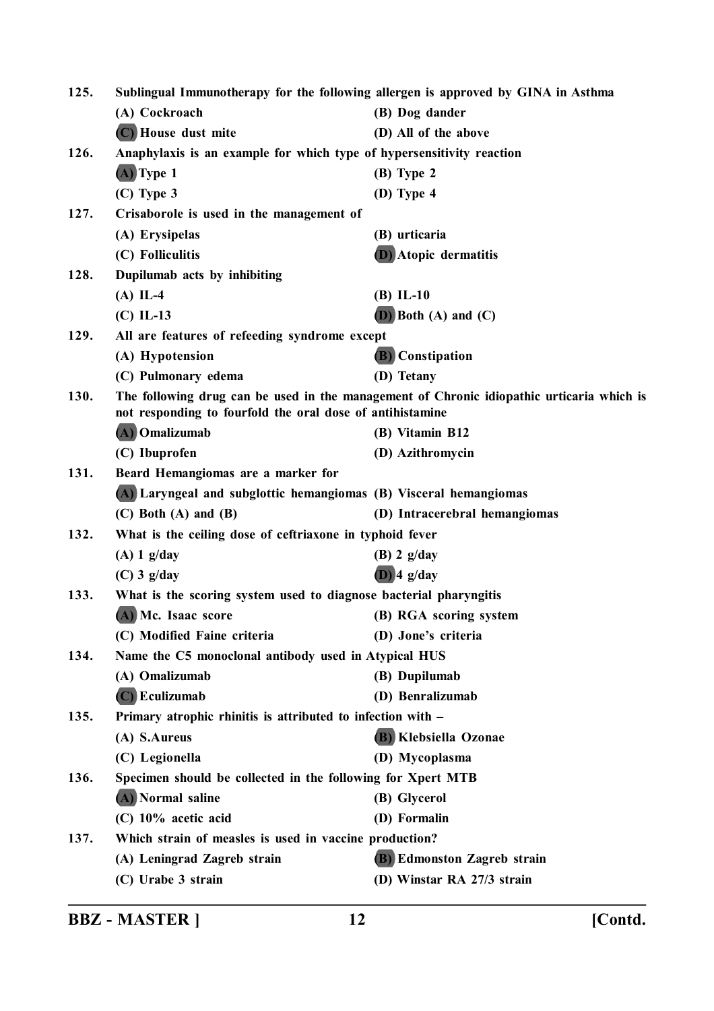| 125. | Sublingual Immunotherapy for the following allergen is approved by GINA in Asthma                                                                      |                                                                   |  |
|------|--------------------------------------------------------------------------------------------------------------------------------------------------------|-------------------------------------------------------------------|--|
|      | (A) Cockroach                                                                                                                                          | (B) Dog dander                                                    |  |
|      | (C) House dust mite                                                                                                                                    | (D) All of the above                                              |  |
| 126. | Anaphylaxis is an example for which type of hypersensitivity reaction                                                                                  |                                                                   |  |
|      | $(A)$ Type 1                                                                                                                                           | (B) Type 2                                                        |  |
|      | $(C)$ Type 3                                                                                                                                           | $(D)$ Type 4                                                      |  |
| 127. | Crisaborole is used in the management of                                                                                                               |                                                                   |  |
|      | (A) Erysipelas                                                                                                                                         | (B) urticaria                                                     |  |
|      | (C) Folliculitis                                                                                                                                       | <b>(D)</b> Atopic dermatitis                                      |  |
| 128. | Dupilumab acts by inhibiting                                                                                                                           |                                                                   |  |
|      | $(A)$ IL-4                                                                                                                                             | $(B)$ IL-10                                                       |  |
|      | $(C)$ IL-13                                                                                                                                            | $(D)$ Both $(A)$ and $(C)$                                        |  |
| 129. | All are features of refeeding syndrome except                                                                                                          |                                                                   |  |
|      | (A) Hypotension                                                                                                                                        | <b>(B)</b> Constipation                                           |  |
|      | (C) Pulmonary edema                                                                                                                                    | (D) Tetany                                                        |  |
| 130. | The following drug can be used in the management of Chronic idiopathic urticaria which is<br>not responding to fourfold the oral dose of antihistamine |                                                                   |  |
|      | (A) Omalizumab                                                                                                                                         | (B) Vitamin B12                                                   |  |
|      | (C) Ibuprofen                                                                                                                                          | (D) Azithromycin                                                  |  |
| 131. | Beard Hemangiomas are a marker for                                                                                                                     |                                                                   |  |
|      |                                                                                                                                                        | (A) Laryngeal and subglottic hemangiomas (B) Visceral hemangiomas |  |
|      | $(C)$ Both $(A)$ and $(B)$                                                                                                                             | (D) Intracerebral hemangiomas                                     |  |
| 132. | What is the ceiling dose of ceftriaxone in typhoid fever                                                                                               |                                                                   |  |
|      | $(A)$ 1 g/day                                                                                                                                          | $(B)$ 2 g/day                                                     |  |
|      | $(C)$ 3 g/day                                                                                                                                          | $(D)$ 4 g/day                                                     |  |
| 133. | What is the scoring system used to diagnose bacterial pharyngitis                                                                                      |                                                                   |  |
|      | (A) Mc. Isaac score                                                                                                                                    | (B) RGA scoring system                                            |  |
|      | (C) Modified Faine criteria                                                                                                                            | (D) Jone's criteria                                               |  |
| 134. | Name the C5 monoclonal antibody used in Atypical HUS                                                                                                   |                                                                   |  |
|      | (A) Omalizumab                                                                                                                                         | (B) Dupilumab                                                     |  |
|      | (C) Eculizumab                                                                                                                                         | (D) Benralizumab                                                  |  |
| 135. | Primary atrophic rhinitis is attributed to infection with -                                                                                            |                                                                   |  |
|      | (A) S.Aureus                                                                                                                                           | (B) Klebsiella Ozonae                                             |  |
|      | (C) Legionella                                                                                                                                         | (D) Mycoplasma                                                    |  |
| 136. | Specimen should be collected in the following for Xpert MTB                                                                                            |                                                                   |  |
|      | (A) Normal saline                                                                                                                                      | (B) Glycerol                                                      |  |
|      | (C) 10% acetic acid                                                                                                                                    | (D) Formalin                                                      |  |
| 137. | Which strain of measles is used in vaccine production?                                                                                                 |                                                                   |  |
|      | (A) Leningrad Zagreb strain                                                                                                                            | (B) Edmonston Zagreb strain                                       |  |
|      | (C) Urabe 3 strain                                                                                                                                     | (D) Winstar RA 27/3 strain                                        |  |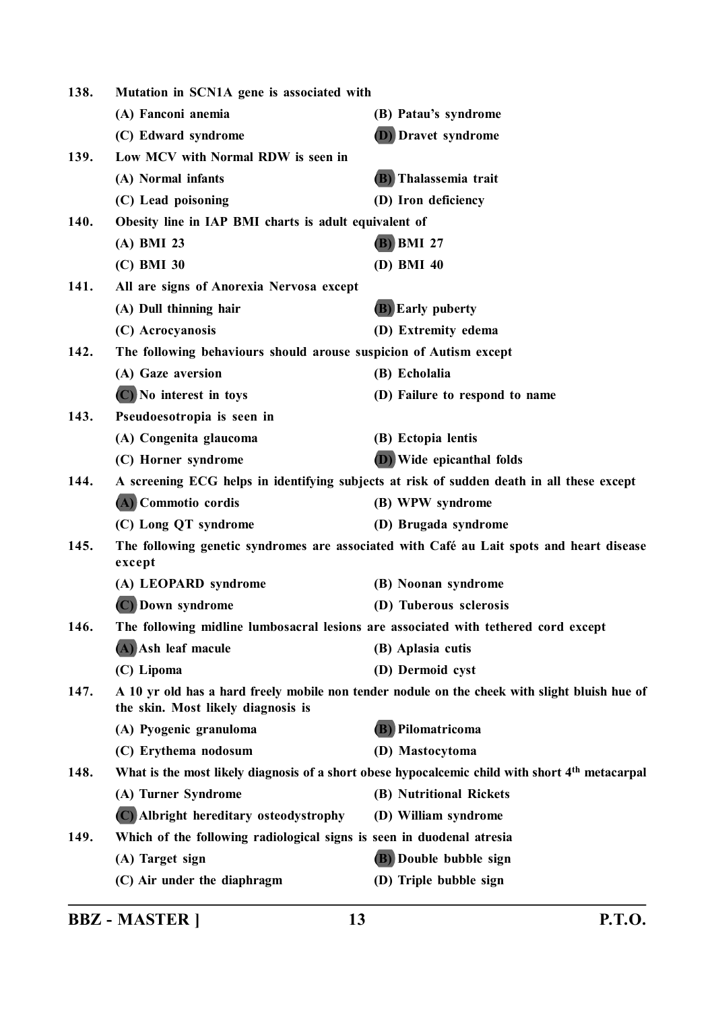| 138.<br>Mutation in SCN1A gene is associated with |                                                                                                                                     |                                                                                                             |
|---------------------------------------------------|-------------------------------------------------------------------------------------------------------------------------------------|-------------------------------------------------------------------------------------------------------------|
|                                                   | (A) Fanconi anemia                                                                                                                  | (B) Patau's syndrome                                                                                        |
|                                                   | (C) Edward syndrome                                                                                                                 | <b>D</b> ) Dravet syndrome                                                                                  |
| 139.                                              | Low MCV with Normal RDW is seen in                                                                                                  |                                                                                                             |
|                                                   | (A) Normal infants                                                                                                                  | (B) Thalassemia trait                                                                                       |
|                                                   | (C) Lead poisoning                                                                                                                  | (D) Iron deficiency                                                                                         |
| 140.                                              | Obesity line in IAP BMI charts is adult equivalent of                                                                               |                                                                                                             |
|                                                   | $(A)$ BMI 23                                                                                                                        | $(B)$ BMI 27                                                                                                |
|                                                   | $(C)$ BMI 30                                                                                                                        | (D) BMI 40                                                                                                  |
| 141.                                              | All are signs of Anorexia Nervosa except                                                                                            |                                                                                                             |
|                                                   | (A) Dull thinning hair                                                                                                              | <b>(B)</b> Early puberty                                                                                    |
|                                                   | (C) Acrocyanosis                                                                                                                    | (D) Extremity edema                                                                                         |
| 142.                                              | The following behaviours should arouse suspicion of Autism except                                                                   |                                                                                                             |
|                                                   | (A) Gaze aversion                                                                                                                   | (B) Echolalia                                                                                               |
|                                                   | (C) No interest in toys                                                                                                             | (D) Failure to respond to name                                                                              |
| 143.                                              | Pseudoesotropia is seen in                                                                                                          |                                                                                                             |
|                                                   | (A) Congenita glaucoma                                                                                                              | (B) Ectopia lentis                                                                                          |
|                                                   | (C) Horner syndrome                                                                                                                 | <b>D</b> ) Wide epicanthal folds                                                                            |
| 144.                                              | A screening ECG helps in identifying subjects at risk of sudden death in all these except                                           |                                                                                                             |
|                                                   | (A) Commotio cordis                                                                                                                 | (B) WPW syndrome                                                                                            |
|                                                   | (C) Long QT syndrome                                                                                                                | (D) Brugada syndrome                                                                                        |
| 145.                                              | except                                                                                                                              | The following genetic syndromes are associated with Café au Lait spots and heart disease                    |
|                                                   | (A) LEOPARD syndrome                                                                                                                | (B) Noonan syndrome                                                                                         |
|                                                   | (C) Down syndrome                                                                                                                   | (D) Tuberous sclerosis                                                                                      |
| 146.                                              |                                                                                                                                     | The following midline lumbosacral lesions are associated with tethered cord except                          |
|                                                   | (A) Ash leaf macule                                                                                                                 | (B) Aplasia cutis                                                                                           |
|                                                   | (C) Lipoma                                                                                                                          | (D) Dermoid cyst                                                                                            |
| 147.                                              | A 10 yr old has a hard freely mobile non tender nodule on the cheek with slight bluish hue of<br>the skin. Most likely diagnosis is |                                                                                                             |
|                                                   | (A) Pyogenic granuloma                                                                                                              | <b>(B)</b> Pilomatricoma                                                                                    |
|                                                   | (C) Erythema nodosum                                                                                                                | (D) Mastocytoma                                                                                             |
| 148.                                              |                                                                                                                                     | What is the most likely diagnosis of a short obese hypocalcemic child with short 4 <sup>th</sup> metacarpal |
|                                                   | (A) Turner Syndrome                                                                                                                 | (B) Nutritional Rickets                                                                                     |
|                                                   | (C) Albright hereditary osteodystrophy                                                                                              | (D) William syndrome                                                                                        |
| 149.                                              | Which of the following radiological signs is seen in duodenal atresia                                                               |                                                                                                             |
|                                                   | (A) Target sign                                                                                                                     | (B) Double bubble sign                                                                                      |
|                                                   | (C) Air under the diaphragm                                                                                                         | (D) Triple bubble sign                                                                                      |
|                                                   |                                                                                                                                     |                                                                                                             |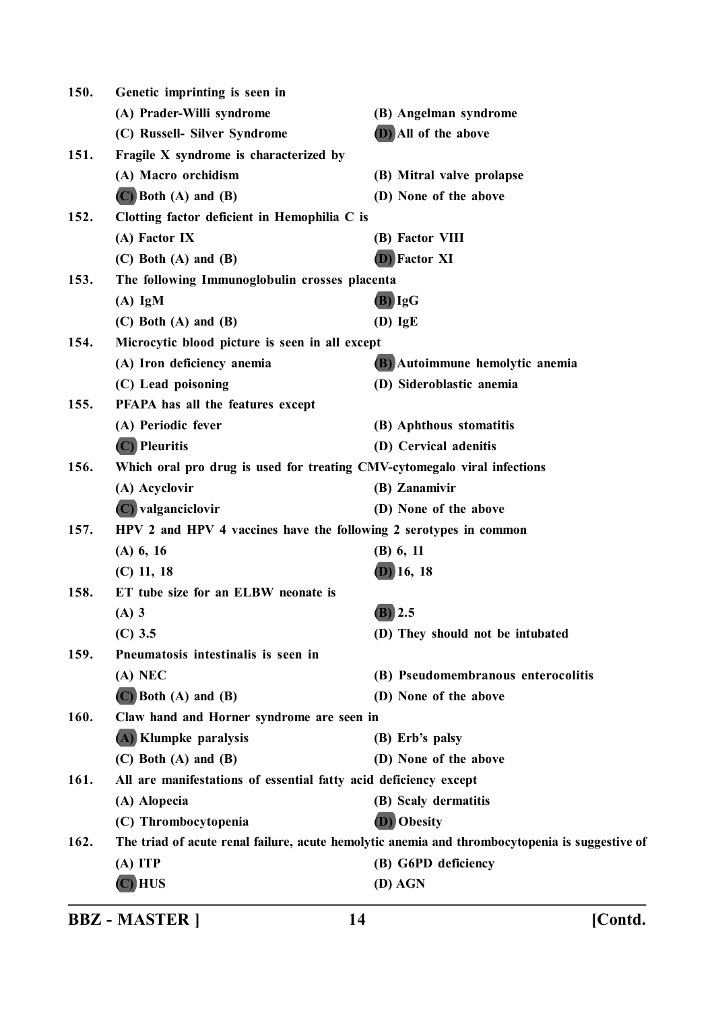| 150. | Genetic imprinting is seen in                                                                  |                                    |  |
|------|------------------------------------------------------------------------------------------------|------------------------------------|--|
|      | (A) Prader-Willi syndrome                                                                      | (B) Angelman syndrome              |  |
|      | (C) Russell- Silver Syndrome                                                                   | (D) All of the above               |  |
| 151. | Fragile X syndrome is characterized by                                                         |                                    |  |
|      | (A) Macro orchidism                                                                            | (B) Mitral valve prolapse          |  |
|      | $(C)$ Both $(A)$ and $(B)$                                                                     | (D) None of the above              |  |
| 152. | Clotting factor deficient in Hemophilia C is                                                   |                                    |  |
|      | (A) Factor IX                                                                                  | (B) Factor VIII                    |  |
|      | $(C)$ Both $(A)$ and $(B)$                                                                     | (D) Factor XI                      |  |
| 153. | The following Immunoglobulin crosses placenta                                                  |                                    |  |
|      | $(A)$ IgM                                                                                      | $(B)$ IgG                          |  |
|      | $(C)$ Both $(A)$ and $(B)$                                                                     | $(D)$ IgE                          |  |
| 154. | Microcytic blood picture is seen in all except                                                 |                                    |  |
|      | (A) Iron deficiency anemia                                                                     | (B) Autoimmune hemolytic anemia    |  |
|      | (C) Lead poisoning                                                                             | (D) Sideroblastic anemia           |  |
| 155. | PFAPA has all the features except                                                              |                                    |  |
|      | (A) Periodic fever                                                                             | (B) Aphthous stomatitis            |  |
|      | $(C)$ Pleuritis                                                                                | (D) Cervical adenitis              |  |
| 156. | Which oral pro drug is used for treating CMV-cytomegalo viral infections                       |                                    |  |
|      | (A) Acyclovir                                                                                  | (B) Zanamivir                      |  |
|      | (C) valganciclovir                                                                             | (D) None of the above              |  |
| 157. | HPV 2 and HPV 4 vaccines have the following 2 serotypes in common                              |                                    |  |
|      | $(A)$ 6, 16                                                                                    | (B) 6, 11                          |  |
|      | $(C)$ 11, 18                                                                                   | $(D)$ 16, 18                       |  |
| 158. | ET tube size for an ELBW neonate is                                                            |                                    |  |
|      | $(A)$ 3                                                                                        | $(B)$ 2.5                          |  |
|      | $(C)$ 3.5                                                                                      | (D) They should not be intubated   |  |
| 159. | Pneumatosis intestinalis is seen in                                                            |                                    |  |
|      | $(A)$ NEC                                                                                      | (B) Pseudomembranous enterocolitis |  |
|      | $(C)$ Both $(A)$ and $(B)$                                                                     | (D) None of the above              |  |
| 160. | Claw hand and Horner syndrome are seen in                                                      |                                    |  |
|      | (A) Klumpke paralysis                                                                          | (B) Erb's palsy                    |  |
|      | $(C)$ Both $(A)$ and $(B)$                                                                     | (D) None of the above              |  |
| 161. | All are manifestations of essential fatty acid deficiency except                               |                                    |  |
|      | (A) Alopecia                                                                                   | (B) Scaly dermatitis               |  |
|      | (C) Thrombocytopenia                                                                           | (D) Obesity                        |  |
| 162. | The triad of acute renal failure, acute hemolytic anemia and thrombocytopenia is suggestive of |                                    |  |
|      | $(A)$ ITP                                                                                      | (B) G6PD deficiency                |  |
|      | (C) HUS                                                                                        | (D) AGN                            |  |
|      |                                                                                                |                                    |  |

**BBZ - MASTER ] 14 [Contd.**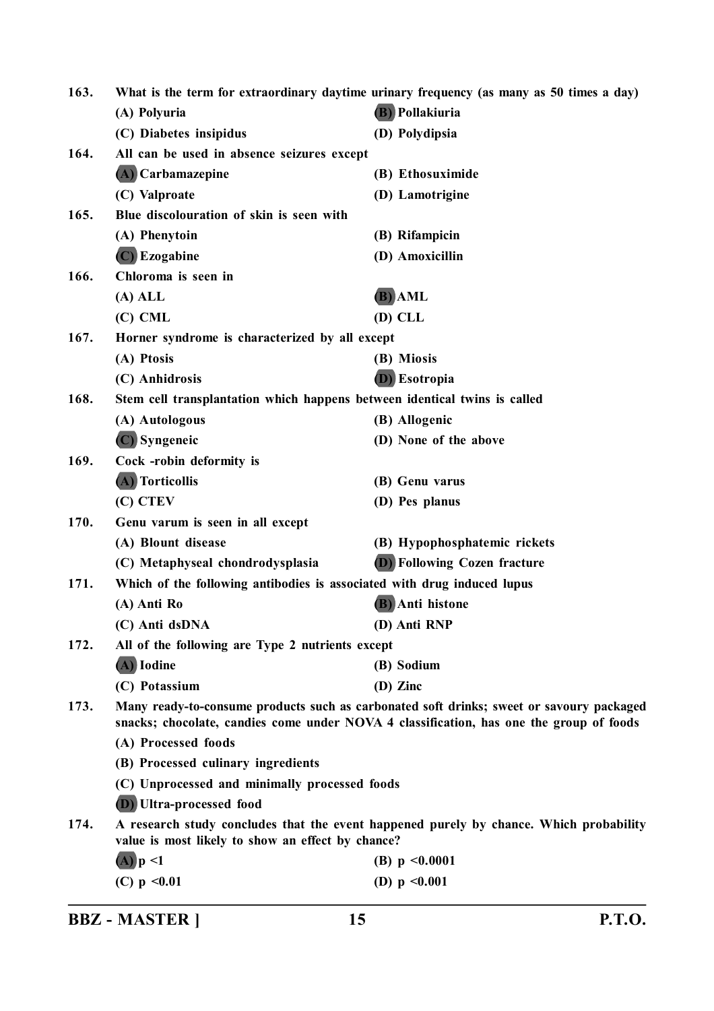**163. What is the term for extraordinary daytime urinary frequency (as many as 50 times a day) (A) Polyuria (B) Pollakiuria (C) Diabetes insipidus (D) Polydipsia 164. All can be used in absence seizures except (A) Carbamazepine (B) Ethosuximide (C) Valproate (D) Lamotrigine 165. Blue discolouration of skin is seen with (A) Phenytoin (B) Rifampicin (C) Ezogabine (D) Amoxicillin 166. Chloroma is seen in (A) ALL (B) AML (C) CML (D) CLL 167. Horner syndrome is characterized by all except (A) Ptosis (B) Miosis (C) Anhidrosis (D) Esotropia 168. Stem cell transplantation which happens between identical twins is called (A) Autologous (B) Allogenic (C) Syngeneic (D) None of the above 169. Cock -robin deformity is (A) Torticollis (B) Genu varus (C) CTEV (D) Pes planus 170. Genu varum is seen in all except (A) Blount disease (B) Hypophosphatemic rickets (C) Metaphyseal chondrodysplasia (D) Following Cozen fracture 171. Which of the following antibodies is associated with drug induced lupus (A) Anti Ro (B) Anti histone (C) Anti dsDNA (D) Anti RNP 172. All of the following are Type 2 nutrients except (A) Iodine (B) Sodium (C) Potassium (D) Zinc 173. Many ready-to-consume products such as carbonated soft drinks; sweet or savoury packaged snacks; chocolate, candies come under NOVA 4 classification, has one the group of foods (A) Processed foods (B) Processed culinary ingredients (C) Unprocessed and minimally processed foods (D) Ultra-processed food 174. A research study concludes that the event happened purely by chance. Which probability value is most likely to show an effect by chance? (A)**  $p \le 1$  **(B)**  $p \le 0.0001$ **(C) p <0.01 (D) p <0.001**

**BBZ - MASTER ] 15 P.T.O.**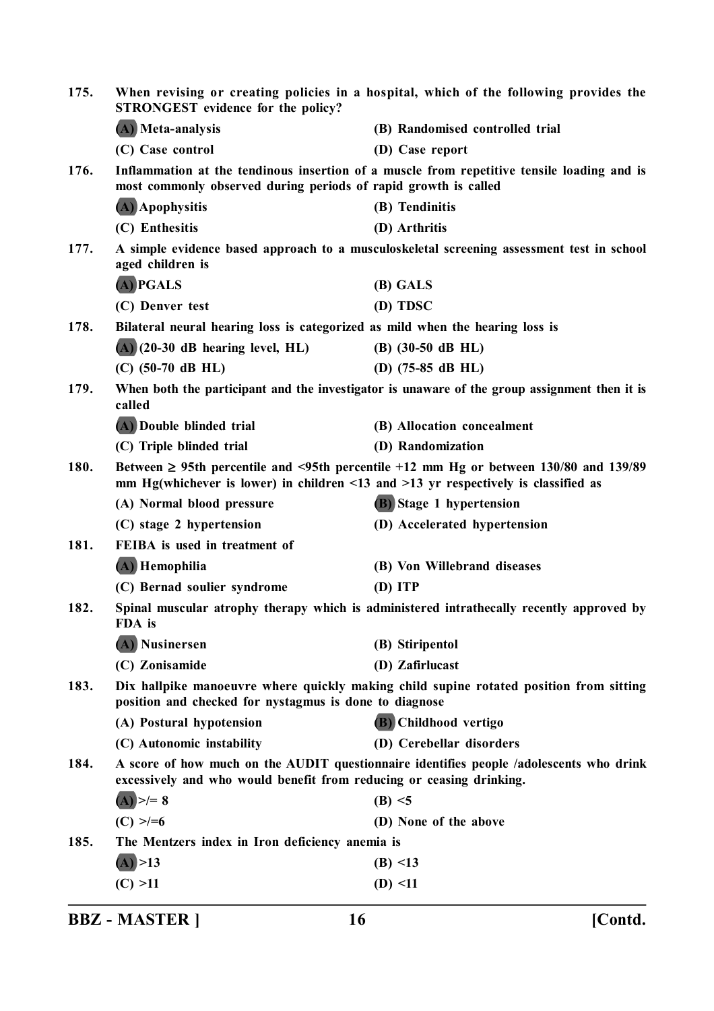| 175. | When revising or creating policies in a hospital, which of the following provides the<br>STRONGEST evidence for the policy?                                                                  |                                 |  |
|------|----------------------------------------------------------------------------------------------------------------------------------------------------------------------------------------------|---------------------------------|--|
|      | (A) Meta-analysis                                                                                                                                                                            | (B) Randomised controlled trial |  |
|      | (C) Case control                                                                                                                                                                             | (D) Case report                 |  |
| 176. | Inflammation at the tendinous insertion of a muscle from repetitive tensile loading and is<br>most commonly observed during periods of rapid growth is called                                |                                 |  |
|      | (A) Apophysitis                                                                                                                                                                              | (B) Tendinitis                  |  |
|      | (C) Enthesitis                                                                                                                                                                               | (D) Arthritis                   |  |
| 177. | A simple evidence based approach to a musculoskeletal screening assessment test in school<br>aged children is                                                                                |                                 |  |
|      | (A) PGALS                                                                                                                                                                                    | (B) GALS                        |  |
|      | (C) Denver test                                                                                                                                                                              | (D) TDSC                        |  |
| 178. | Bilateral neural hearing loss is categorized as mild when the hearing loss is                                                                                                                |                                 |  |
|      | $(A)$ (20-30 dB hearing level, HL)                                                                                                                                                           | $(B)$ (30-50 dB HL)             |  |
|      | $(C)$ (50-70 dB HL)                                                                                                                                                                          | (D) $(75-85$ dB HL)             |  |
| 179. | When both the participant and the investigator is unaware of the group assignment then it is<br>called                                                                                       |                                 |  |
|      | (A) Double blinded trial                                                                                                                                                                     | (B) Allocation concealment      |  |
|      | (C) Triple blinded trial                                                                                                                                                                     | (D) Randomization               |  |
| 180. | Between $\geq$ 95th percentile and <95th percentile +12 mm Hg or between 130/80 and 139/89<br>mm Hg(whichever is lower) in children $\leq$ 13 and $\geq$ 13 yr respectively is classified as |                                 |  |
|      | (A) Normal blood pressure                                                                                                                                                                    | <b>(B)</b> Stage 1 hypertension |  |
|      | (C) stage 2 hypertension                                                                                                                                                                     | (D) Accelerated hypertension    |  |
| 181. | FEIBA is used in treatment of                                                                                                                                                                |                                 |  |
|      | (A) Hemophilia                                                                                                                                                                               | (B) Von Willebrand diseases     |  |
|      | (C) Bernad soulier syndrome                                                                                                                                                                  | (D) ITP                         |  |
| 182. | Spinal muscular atrophy therapy which is administered intrathecally recently approved by<br>FDA is                                                                                           |                                 |  |
|      | (A) Nusinersen                                                                                                                                                                               | (B) Stiripentol                 |  |
|      | (C) Zonisamide                                                                                                                                                                               | (D) Zafirlucast                 |  |
| 183. | Dix hallpike manoeuvre where quickly making child supine rotated position from sitting<br>position and checked for nystagmus is done to diagnose                                             |                                 |  |
|      | (A) Postural hypotension                                                                                                                                                                     | (B) Childhood vertigo           |  |
|      | (C) Autonomic instability                                                                                                                                                                    | (D) Cerebellar disorders        |  |
| 184. | A score of how much on the AUDIT questionnaire identifies people /adolescents who drink<br>excessively and who would benefit from reducing or ceasing drinking.                              |                                 |  |
|      | $(A)$ >/= 8                                                                                                                                                                                  | (B) < 5                         |  |
|      | $(C)$ >/=6                                                                                                                                                                                   | (D) None of the above           |  |
| 185. | The Mentzers index in Iron deficiency anemia is                                                                                                                                              |                                 |  |
|      | (A) > 13                                                                                                                                                                                     | (B) < 13                        |  |
|      | (C) > 11                                                                                                                                                                                     | $(D)$ <11                       |  |

**BBZ - MASTER ] 16 [Contd.**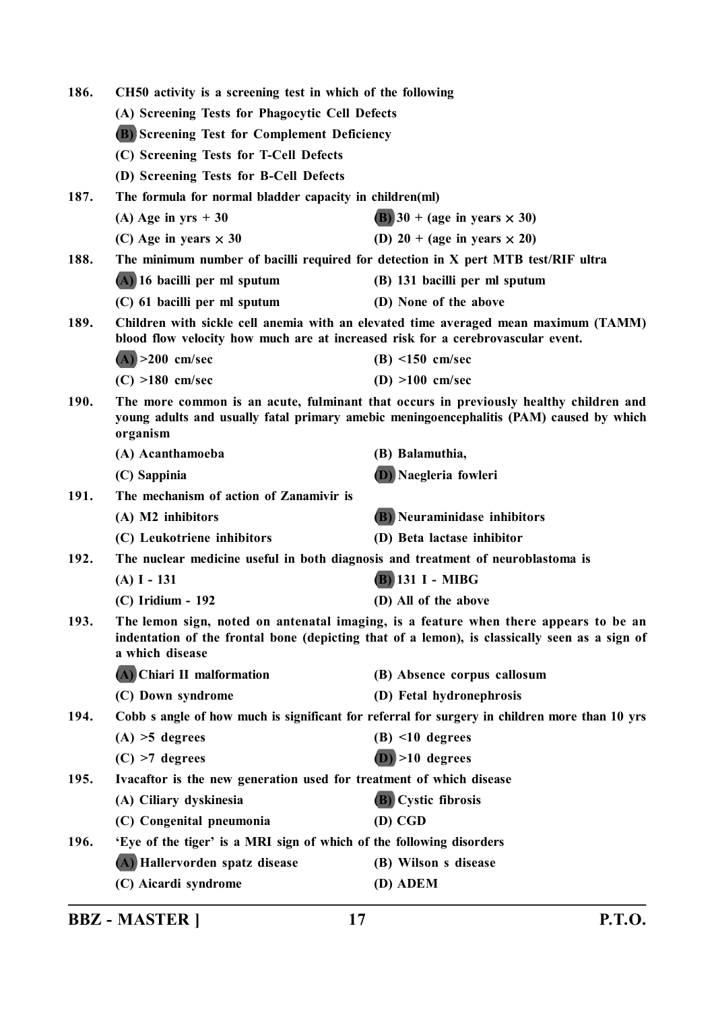| 186. | CH50 activity is a screening test in which of the following                                                                                                                                              |                                            |  |
|------|----------------------------------------------------------------------------------------------------------------------------------------------------------------------------------------------------------|--------------------------------------------|--|
|      | (A) Screening Tests for Phagocytic Cell Defects                                                                                                                                                          |                                            |  |
|      | <b>(B)</b> Screening Test for Complement Deficiency                                                                                                                                                      |                                            |  |
|      | (C) Screening Tests for T-Cell Defects                                                                                                                                                                   |                                            |  |
|      | (D) Screening Tests for B-Cell Defects                                                                                                                                                                   |                                            |  |
| 187. | The formula for normal bladder capacity in children(ml)                                                                                                                                                  |                                            |  |
|      | (A) Age in $yrs + 30$                                                                                                                                                                                    | <b>(B)</b> 30 + (age in years $\times$ 30) |  |
|      | (C) Age in years $\times$ 30                                                                                                                                                                             | (D) $20 + (age in years \times 20)$        |  |
| 188. | The minimum number of bacilli required for detection in X pert MTB test/RIF ultra                                                                                                                        |                                            |  |
|      | (A) 16 bacilli per ml sputum                                                                                                                                                                             | (B) 131 bacilli per ml sputum              |  |
|      | (C) 61 bacilli per ml sputum                                                                                                                                                                             | (D) None of the above                      |  |
| 189. | Children with sickle cell anemia with an elevated time averaged mean maximum (TAMM)<br>blood flow velocity how much are at increased risk for a cerebrovascular event.                                   |                                            |  |
|      | $(A)$ >200 cm/sec                                                                                                                                                                                        | $(B)$ <150 cm/sec                          |  |
|      | $(C) > 180$ cm/sec                                                                                                                                                                                       | (D) $>100$ cm/sec                          |  |
| 190. | The more common is an acute, fulminant that occurs in previously healthy children and<br>young adults and usually fatal primary amebic meningoencephalitis (PAM) caused by which<br>organism             |                                            |  |
|      | (A) Acanthamoeba                                                                                                                                                                                         | (B) Balamuthia,                            |  |
|      | (C) Sappinia                                                                                                                                                                                             | (D) Naegleria fowleri                      |  |
| 191. | The mechanism of action of Zanamivir is                                                                                                                                                                  |                                            |  |
|      | (A) M2 inhibitors                                                                                                                                                                                        | <b>(B)</b> Neuraminidase inhibitors        |  |
|      | (C) Leukotriene inhibitors                                                                                                                                                                               | (D) Beta lactase inhibitor                 |  |
| 192. | The nuclear medicine useful in both diagnosis and treatment of neuroblastoma is                                                                                                                          |                                            |  |
|      | $(A) I - 131$                                                                                                                                                                                            | $(B)$ 131 I - MIBG                         |  |
|      | $(C)$ Iridium - 192                                                                                                                                                                                      | (D) All of the above                       |  |
| 193. | The lemon sign, noted on antenatal imaging, is a feature when there appears to be an<br>indentation of the frontal bone (depicting that of a lemon), is classically seen as a sign of<br>a which disease |                                            |  |
|      | (A) Chiari II malformation                                                                                                                                                                               | (B) Absence corpus callosum                |  |
|      | (C) Down syndrome                                                                                                                                                                                        | (D) Fetal hydronephrosis                   |  |
| 194. | Cobb s angle of how much is significant for referral for surgery in children more than 10 yrs                                                                                                            |                                            |  |
|      | $(A) > 5$ degrees                                                                                                                                                                                        | $(B)$ <10 degrees                          |  |
|      | $(C) > 7$ degrees                                                                                                                                                                                        | $(D)$ >10 degrees                          |  |
| 195. | Ivacaftor is the new generation used for treatment of which disease                                                                                                                                      |                                            |  |
|      | (A) Ciliary dyskinesia                                                                                                                                                                                   | <b>(B)</b> Cystic fibrosis                 |  |
|      | (C) Congenital pneumonia                                                                                                                                                                                 | (D) CGD                                    |  |
| 196. | 'Eye of the tiger' is a MRI sign of which of the following disorders                                                                                                                                     |                                            |  |
|      | (A) Hallervorden spatz disease                                                                                                                                                                           | (B) Wilson s disease                       |  |
|      | (C) Aicardi syndrome                                                                                                                                                                                     | (D) ADEM                                   |  |
|      |                                                                                                                                                                                                          |                                            |  |

**BBZ - MASTER ] 17 P.T.O.**